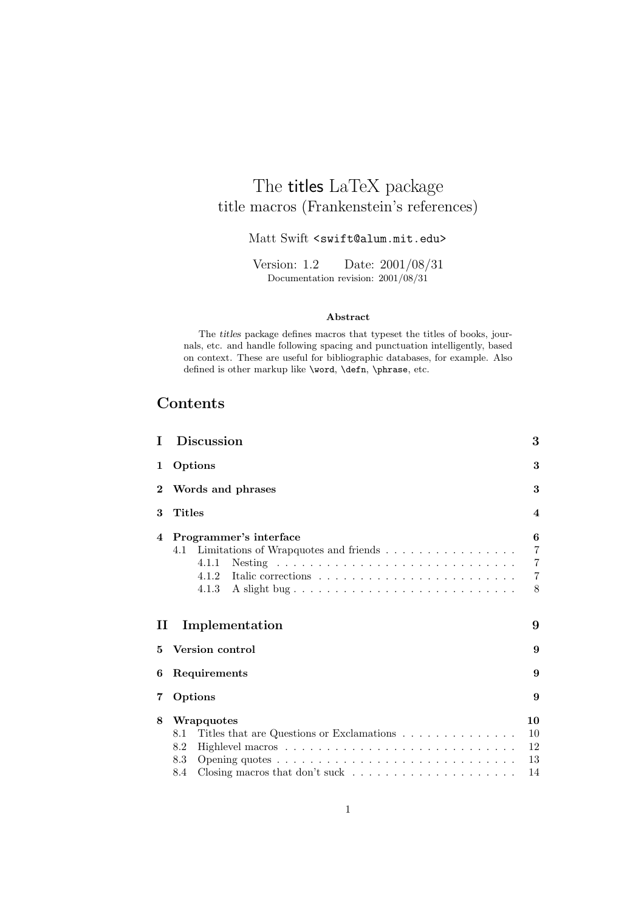## The titles LaTeX package title macros (Frankenstein's references)

## Matt Swift <swift@alum.mit.edu>

Version: 1.2 Date: 2001/08/31 Documentation revision: 2001/08/31

#### **Abstract**

The *titles* package defines macros that typeset the titles of books, journals, etc. and handle following spacing and punctuation intelligently, based on context. These are useful for bibliographic databases, for example. Also defined is other markup like \word, \defn, \phrase, etc.

## **Contents**

| T.       | <b>Discussion</b>                                                                                 | 3                                                            |  |
|----------|---------------------------------------------------------------------------------------------------|--------------------------------------------------------------|--|
| 1        | Options                                                                                           | 3                                                            |  |
| $\bf{2}$ | Words and phrases                                                                                 | 3                                                            |  |
| 3        | <b>Titles</b>                                                                                     | $\overline{\mathbf{4}}$                                      |  |
| 4        | Programmer's interface<br>Limitations of Wrapquotes and friends<br>4.1<br>4.1.1<br>4.1.2<br>4.1.3 | 6<br>$\overline{7}$<br>$\overline{7}$<br>$\overline{7}$<br>8 |  |
| $\rm II$ | Implementation                                                                                    | 9                                                            |  |
| 5        | Version control                                                                                   |                                                              |  |
| 6        | Requirements<br>9                                                                                 |                                                              |  |
| 7        | Options                                                                                           | 9                                                            |  |
| 8        | Wrapquotes                                                                                        | 10                                                           |  |
|          | Titles that are Questions or Exclamations<br>8.1                                                  | 10                                                           |  |
|          | 8.2                                                                                               | 12                                                           |  |
|          | 8.3                                                                                               | 13                                                           |  |
|          | 8.4                                                                                               | 14                                                           |  |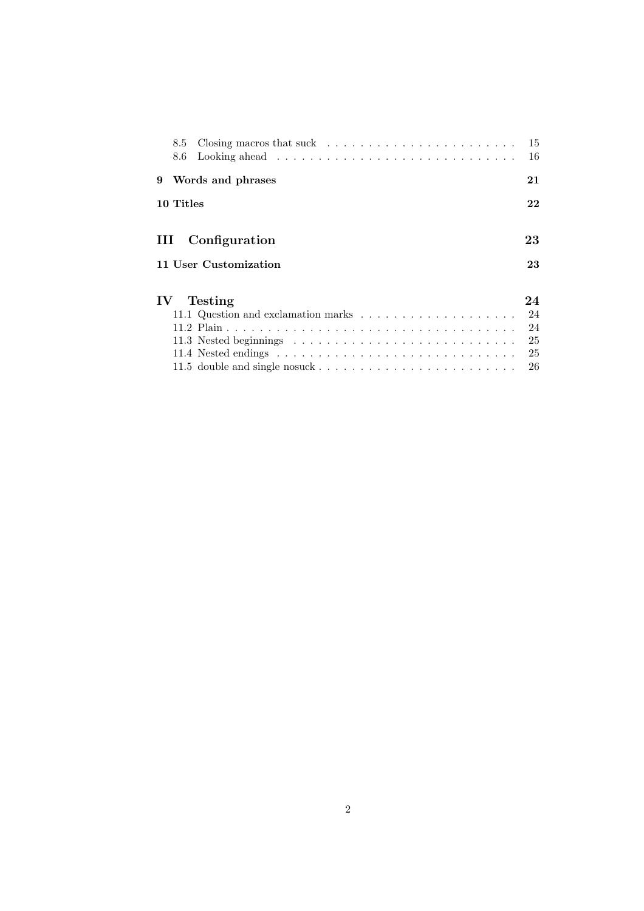|               | 8.5<br>8.6 |                       | 15<br>16 |
|---------------|------------|-----------------------|----------|
| 9             |            | Words and phrases     | 21       |
|               | 10 Titles  |                       | 22       |
|               |            |                       |          |
| III           |            | Configuration         | 23       |
|               |            | 11 User Customization | 23       |
| $\mathbf{IV}$ |            | Testing               | 24       |
|               |            |                       | 24       |
|               |            |                       | 24       |
|               |            |                       | 25       |
|               |            |                       | 25       |
|               |            |                       | 26       |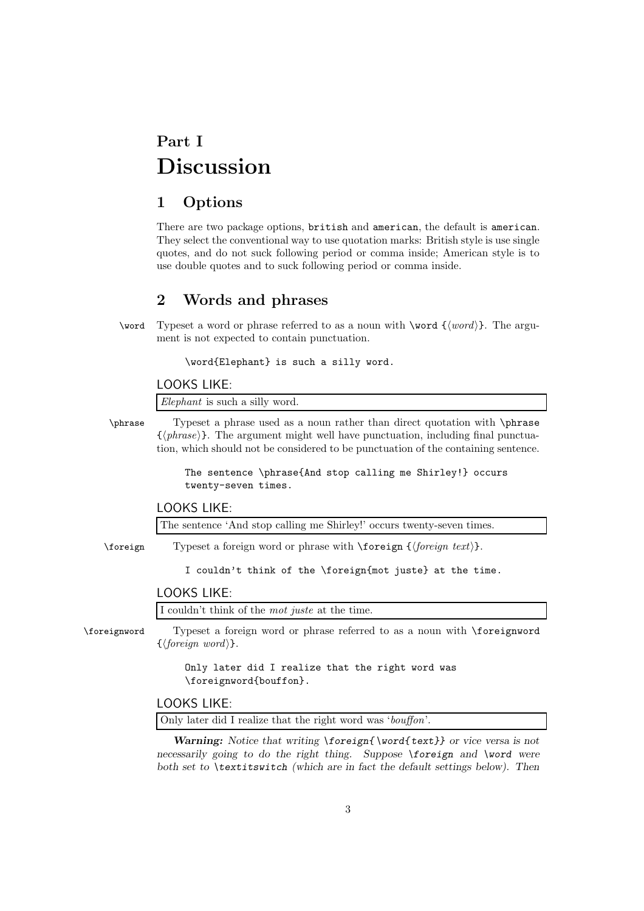# **Part I Discussion**

## **1 Options**

There are two package options, british and american, the default is american. They select the conventional way to use quotation marks: British style is use single quotes, and do not suck following period or comma inside; American style is to use double quotes and to suck following period or comma inside.

## **2 Words and phrases**

\word Typeset a word or phrase referred to as a noun with \word  $\{\langle word \rangle\}$ . The argument is not expected to contain punctuation.

\word{Elephant} is such a silly word.

#### LOOKS LIKE:

*Elephant* is such a silly word.

\phrase Typeset a phrase used as a noun rather than direct quotation with \phrase  $\{\langle phrase \rangle\}$ . The argument might well have punctuation, including final punctuation, which should not be considered to be punctuation of the containing sentence.

> The sentence \phrase{And stop calling me Shirley!} occurs twenty-seven times.

## LOOKS LIKE:

The sentence 'And stop calling me Shirley!' occurs twenty-seven times.

\foreign Typeset a foreign word or phrase with \foreign {\foreign text\}.

I couldn't think of the \foreign{mot juste} at the time.

## LOOKS LIKE:

I couldn't think of the *mot juste* at the time.

\foreignword Typeset a foreign word or phrase referred to as a noun with \foreignword  $\{\langle \text{foreign word} \rangle\}.$ 

> Only later did I realize that the right word was \foreignword{bouffon}.

## LOOKS LIKE:

Only later did I realize that the right word was '*bouffon*'.

*Warning: Notice that writing \foreign{ \word{ text}} or vice versa is not necessarily going to do the right thing. Suppose \foreign and \word were both set to \textitswitch (which are in fact the default settings below). Then*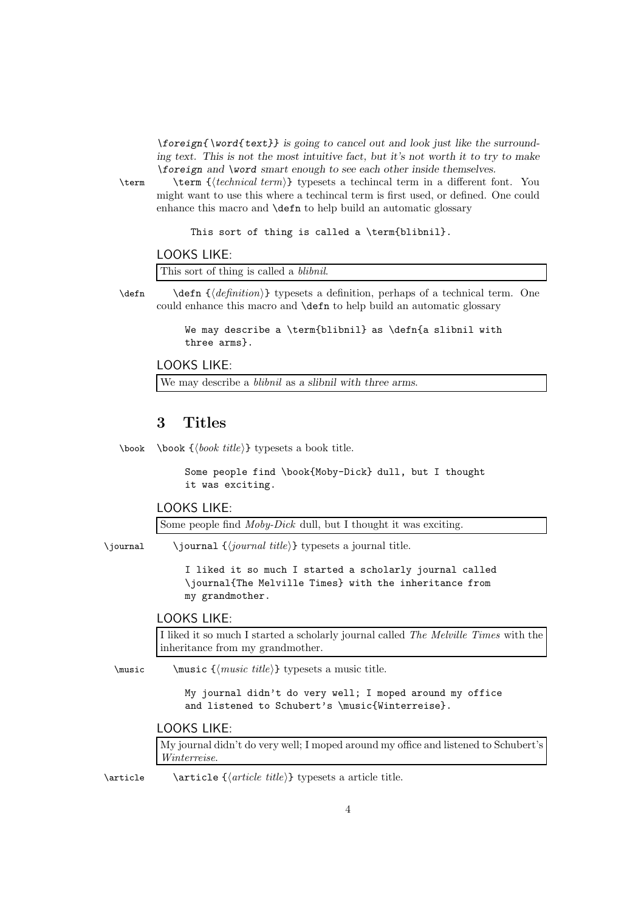*\foreign{ \word{ text}} is going to cancel out and look just like the surrounding text. This is not the most intuitive fact, but it's not worth it to try to make \foreign and \word smart enough to see each other inside themselves.*

\term \term {-*technical term*} typesets a techincal term in a different font. You might want to use this where a techincal term is first used, or defined. One could enhance this macro and \defn to help build an automatic glossary

This sort of thing is called a \term{blibnil}.

### LOOKS LIKE:

This sort of thing is called a *blibnil*.

\defn \defn {\*definition*} typesets a definition, perhaps of a technical term. One could enhance this macro and \defn to help build an automatic glossary

> We may describe a \term{blibnil} as \defn{a slibnil with three arms}.

## LOOKS LIKE:

We may describe a *blibnil* as *a slibnil with three arms*.

## **3 Titles**

\book \book {\book title}} typesets a book title.

Some people find \book{Moby-Dick} dull, but I thought it was exciting.

## LOOKS LIKE:

Some people find *Moby-Dick* dull, but I thought it was exciting.

\*journal* \*journal {\ippartial title*}} typesets a journal title.

I liked it so much I started a scholarly journal called \journal{The Melville Times} with the inheritance from my grandmother.

### LOOKS LIKE:

I liked it so much I started a scholarly journal called *The Melville Times* with the inheritance from my grandmother.

\music \music { $\langle$ *music {* $\langle$  *title*}} typesets a music title.

My journal didn't do very well; I moped around my office and listened to Schubert's \music{Winterreise}.

## LOOKS LIKE:

My journal didn't do very well; I moped around my office and listened to Schubert's *Winterreise*.

\article \article {\article title}} typesets a article title.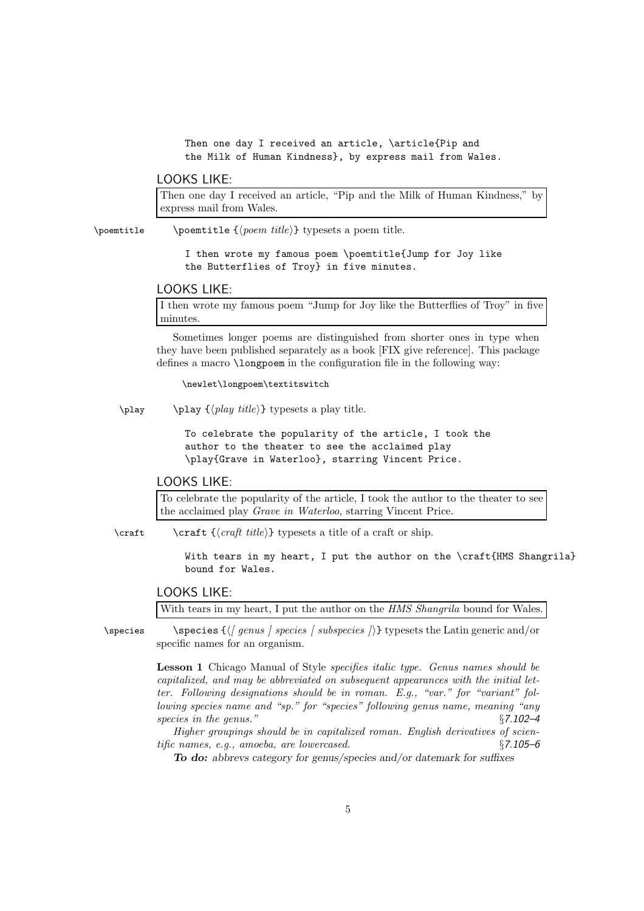Then one day I received an article, \article{Pip and the Milk of Human Kindness}, by express mail from Wales.

## LOOKS LIKE:

Then one day I received an article, "Pip and the Milk of Human Kindness," by express mail from Wales.

\poemtitle \poemtitle { $\{poem title\}$ } typesets a poem title.

I then wrote my famous poem \poemtitle{Jump for Joy like the Butterflies of Troy} in five minutes.

## LOOKS LIKE:

I then wrote my famous poem "Jump for Joy like the Butterflies of Troy" in five minutes.

Sometimes longer poems are distinguished from shorter ones in type when they have been published separately as a book [FIX give reference]. This package defines a macro \longpoem in the configuration file in the following way:

\newlet\longpoem\textitswitch

 $\pi \rightarrow {\play { \langle play title \rangle} } typesets a play title.$ 

To celebrate the popularity of the article, I took the author to the theater to see the acclaimed play \play{Grave in Waterloo}, starring Vincent Price.

## LOOKS LIKE:

To celebrate the popularity of the article, I took the author to the theater to see the acclaimed play *Grave in Waterloo*, starring Vincent Price.

\craft \craft  ${\langle \text{craff title} \rangle}$  typesets a title of a craft or ship.

With tears in my heart, I put the author on the \craft{HMS Shangrila} bound for Wales.

## LOOKS LIKE:

With tears in my heart, I put the author on the *HMS Shangrila* bound for Wales.

\species \species {*(| genus ] species [ subspecies ]*)} typesets the Latin generic and/or specific names for an organism.

> **Lesson 1** Chicago Manual of Style *specifies italic type. Genus names should be capitalized, and may be abbreviated on subsequent appearances with the initial letter. Following designations should be in roman. E.g., "var." for "variant" following species name and "sp." for "species" following genus name, meaning "any species in the genus."* §*7.102–4*

> *Higher groupings should be in capitalized roman. English derivatives of scientific names, e.g., amoeba, are lowercased.* §*7.105–6*

*To do: abbrevs category for genus/species and/or datemark for suffixes*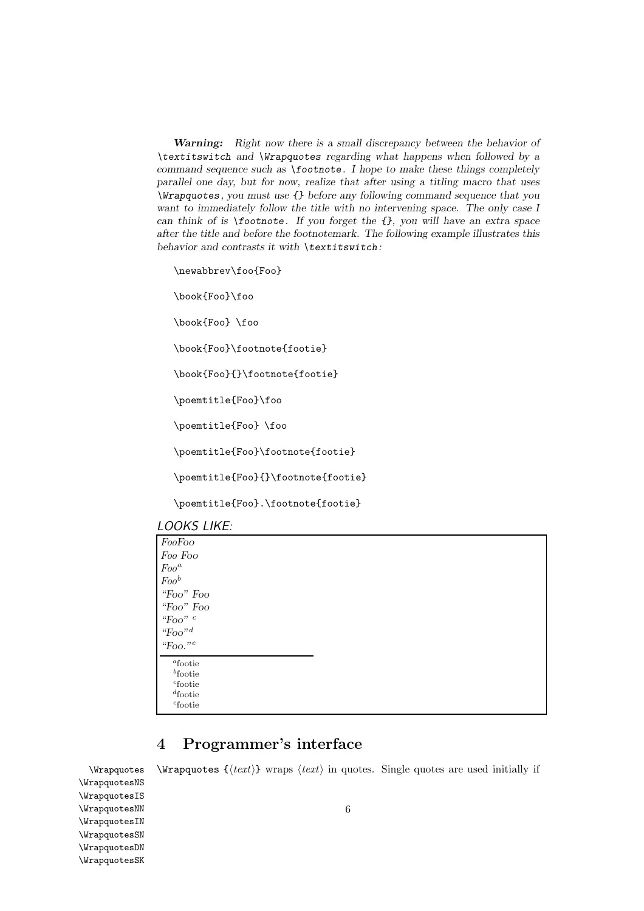*Warning: Right now there is a small discrepancy between the behavior of \textitswitch and \Wrapquotes regarding what happens when followed by a command sequence such as \footnote. I hope to make these things completely parallel one day, but for now, realize that after using a titling macro that uses \Wrapquotes, you must use {} before any following command sequence that you want to immediately follow the title with no intervening space. The only case I can think of is \footnote. If you forget the {}, you will have an extra space after the title and before the footnotemark. The following example illustrates this behavior and contrasts it with \textitswitch:*

\newabbrev\foo{Foo}

\book{Foo}\foo

\book{Foo} \foo

\book{Foo}\footnote{footie}

```
\book{Foo}{}\footnote{footie}
```
\poemtitle{Foo}\foo

\poemtitle{Foo} \foo

\poemtitle{Foo}\footnote{footie}

\poemtitle{Foo}{}\footnote{footie}

\poemtitle{Foo}.\footnote{footie}

| FooFoo                          |  |  |
|---------------------------------|--|--|
| Foo Foo                         |  |  |
| $Foo^a$                         |  |  |
| $Foo^b$                         |  |  |
| "Foo" Foo                       |  |  |
| "Foo" Foo                       |  |  |
| "Foo" $c$                       |  |  |
| "Foo" <sup><math>d</math></sup> |  |  |
| "Foo." <sup>e</sup>             |  |  |

*<sup>b</sup>*footie *<sup>c</sup>*footie

*<sup>d</sup>*footie *<sup>e</sup>*footie

## **4 Programmer's interface**

 $\W$ rapquotes  $\W$ rapquotes  $\{ \text{text} \}$  wraps  $\text{text}$  in quotes. Single quotes are used initially if

\WrapquotesNS \WrapquotesIS \WrapquotesNN \WrapquotesIN \WrapquotesSN \WrapquotesDN \WrapquotesSK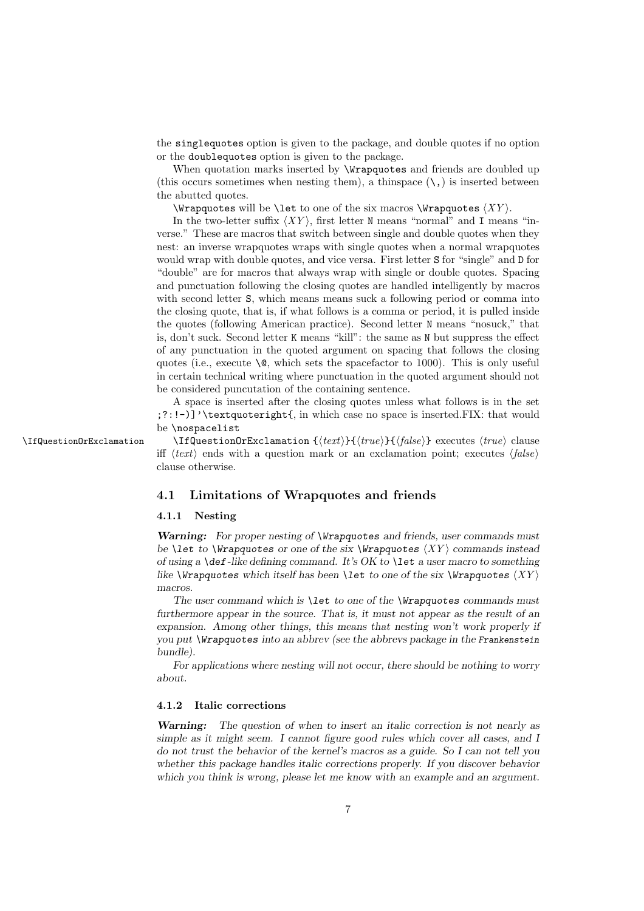the singlequotes option is given to the package, and double quotes if no option or the doublequotes option is given to the package.

When quotation marks inserted by **\Wrapquotes** and friends are doubled up (this occurs sometimes when nesting them), a thinspace  $(\lambda)$  is inserted between the abutted quotes.

 $\W$ rapquotes will be  $\let$  to one of the six macros  $\W$ rapquotes  $\langle XY \rangle$ .

In the two-letter suffix  $\langle XY \rangle$ , first letter N means "normal" and I means "inverse." These are macros that switch between single and double quotes when they nest: an inverse wrapquotes wraps with single quotes when a normal wrapquotes would wrap with double quotes, and vice versa. First letter S for "single" and D for "double" are for macros that always wrap with single or double quotes. Spacing and punctuation following the closing quotes are handled intelligently by macros with second letter S, which means means suck a following period or comma into the closing quote, that is, if what follows is a comma or period, it is pulled inside the quotes (following American practice). Second letter N means "nosuck," that is, don't suck. Second letter K means "kill": the same as N but suppress the effect of any punctuation in the quoted argument on spacing that follows the closing quotes (i.e., execute  $\gtrsim$ , which sets the spacefactor to 1000). This is only useful in certain technical writing where punctuation in the quoted argument should not be considered puncutation of the containing sentence.

A space is inserted after the closing quotes unless what follows is in the set ;?:!-)]'\textquoteright{, in which case no space is inserted.FIX: that would be \nospacelist

\IfQuestionOrExclamation \IfQuestionOrExclamation { $\text{true}$ }{ $\text{false}}$ } executes  $\text{true}$  clause iff  $\langle text \rangle$  ends with a question mark or an exclamation point; executes  $\langle false \rangle$ clause otherwise.

### **4.1 Limitations of Wrapquotes and friends**

#### **4.1.1 Nesting**

*Warning: For proper nesting of \Wrapquotes and friends, user commands must be*  $\{XY\}$  *commands instead of using a \def-like defining command. It's OK to \let a user macro to something like*  $\text{Wrapquotes which itself has been \texttt{let to one of the six \texttt{Wrapquotes }}\langle XY \rangle}$ *macros.*

*The user command which is \let to one of the \Wrapquotes commands must furthermore appear in the source. That is, it must not appear as the result of an expansion. Among other things, this means that nesting won't work properly if you put \Wrapquotes into an abbrev (see the abbrevs package in the Frankenstein bundle).*

*For applications where nesting will not occur, there should be nothing to worry about.*

#### **4.1.2 Italic corrections**

*Warning: The question of when to insert an italic correction is not nearly as simple as it might seem. I cannot figure good rules which cover all cases, and I do not trust the behavior of the kernel's macros as a guide. So I can not tell you whether this package handles italic corrections properly. If you discover behavior which you think is wrong, please let me know with an example and an argument.*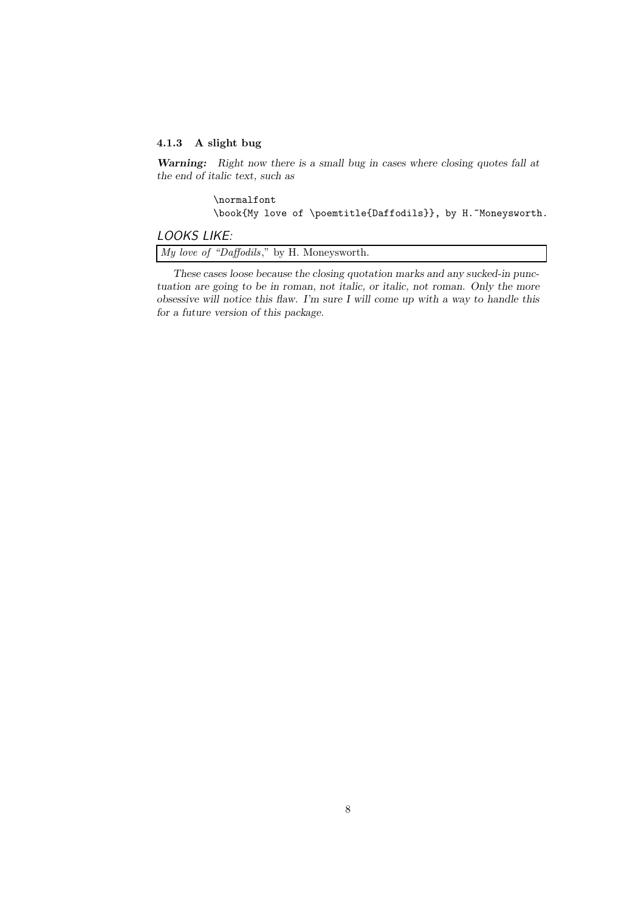### **4.1.3 A slight bug**

*Warning: Right now there is a small bug in cases where closing quotes fall at the end of italic text, such as*

> \normalfont \book{My love of \poemtitle{Daffodils}}, by H.~Moneysworth.

## *LOOKS LIKE:*

*My love of "Daffodils*," by H. Moneysworth.

*These cases loose because the closing quotation marks and any sucked-in punctuation are going to be in roman, not italic, or italic, not roman. Only the more obsessive will notice this flaw. I'm sure I will come up with a way to handle this for a future version of this package.*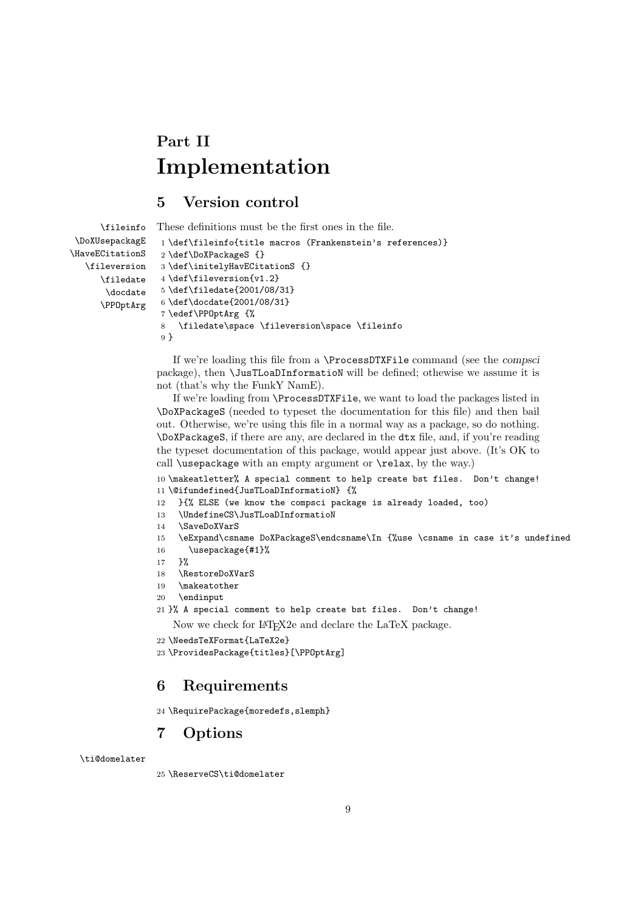# **Part II Implementation**

## **5 Version control**

```
\fileinfo
\DoXUsepackagE
\HaveECitationS
   \fileversion
      \filedate
       \docdate
      \PPOptArg
                 These definitions must be the first ones in the file.
                  1 \def\fileinfo{title macros (Frankenstein's references)}
                  2 \def\DoXPackageS {}
                  3 \def\initelyHavECitationS {}
                  4 \def\fileversion{v1.2}
                  5 \def\filedate{2001/08/31}
                  6 \def\docdate{2001/08/31}
                  7 \edef\PPOptArg {%
                  8 \filedate\space \fileversion\space \fileinfo
                  9 }
```
If we're loading this file from a \ProcessDTXFile command (see the *compsci* package), then \JusTLoaDInformatioN will be defined; othewise we assume it is not (that's why the FunkY NamE).

If we're loading from \ProcessDTXFile, we want to load the packages listed in \DoXPackageS (needed to typeset the documentation for this file) and then bail out. Otherwise, we're using this file in a normal way as a package, so do nothing. \DoXPackageS, if there are any, are declared in the dtx file, and, if you're reading the typeset documentation of this package, would appear just above. (It's OK to call \usepackage with an empty argument or \relax, by the way.)

10 \makeatletter% A special comment to help create bst files. Don't change! 11 \@ifundefined{JusTLoaDInformatioN} {%

- 12 }{% ELSE (we know the compsci package is already loaded, too)
- 13 \UndefineCS\JusTLoaDInformatioN
- 14 \SaveDoXVarS
- 15 \eExpand\csname DoXPackageS\endcsname\In {%use \csname in case it's undefined
- 16 \usepackage{#1}%
- 17 }%
- 18 \RestoreDoXVarS
- 19 \makeatother
- 20 \endinput
- 21 }% A special comment to help create bst files. Don't change!

Now we check for LAT<sub>E</sub>X2e and declare the LaTeX package.

- 22 \NeedsTeXFormat{LaTeX2e}
- 23 \ProvidesPackage{titles}[\PPOptArg]

## **6 Requirements**

```
24 \RequirePackage{moredefs,slemph}
```
## **7 Options**

\ti@domelater

25 \ReserveCS\ti@domelater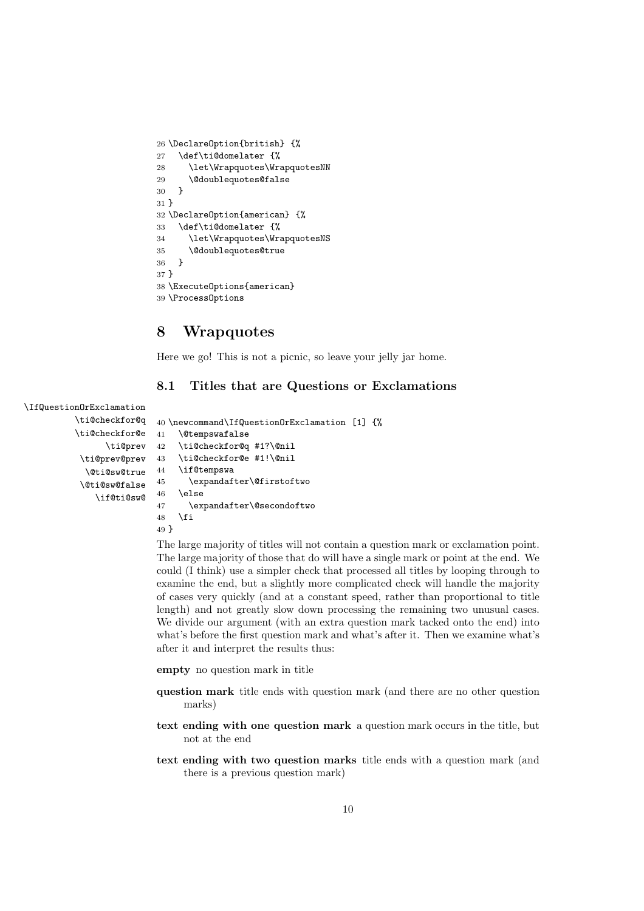```
26 \DeclareOption{british} {%
27 \def\ti@domelater {%
28 \let\Wrapquotes\WrapquotesNN
29 \@doublequotes@false
30 }
31 }
32 \DeclareOption{american} {%
33 \def\ti@domelater {%
34 \let\Wrapquotes\WrapquotesNS
35 \@doublequotes@true
36 }
37 }
38 \ExecuteOptions{american}
39 \ProcessOptions
```
## **8 Wrapquotes**

Here we go! This is not a picnic, so leave your jelly jar home.

## **8.1 Titles that are Questions or Exclamations**

```
\IfQuestionOrExclamation
         \ti@checkfor@q
         \ti@checkfor@e
               \ti@prev 42
          \ti@prev@prev
           \@ti@sw@true
          \@ti@sw@false
             \if@ti@sw@
                        40 \newcommand\IfQuestionOrExclamation [1] {%
                        41 \@tempswafalse
                             \ti@checkfor@q #1?\@nil
                        43 \ti@checkfor@e #1!\@nil
                         44 \if@tempswa
                         45 \expandafter\@firstoftwo
                         46 \else
                         47 \expandafter\@secondoftwo
                         48 \fi
```
49 }

The large majority of titles will not contain a question mark or exclamation point. The large majority of those that do will have a single mark or point at the end. We could (I think) use a simpler check that processed all titles by looping through to examine the end, but a slightly more complicated check will handle the majority of cases very quickly (and at a constant speed, rather than proportional to title length) and not greatly slow down processing the remaining two unusual cases. We divide our argument (with an extra question mark tacked onto the end) into what's before the first question mark and what's after it. Then we examine what's after it and interpret the results thus:

**empty** no question mark in title

- **question mark** title ends with question mark (and there are no other question marks)
- **text ending with one question mark** a question mark occurs in the title, but not at the end
- **text ending with two question marks** title ends with a question mark (and there is a previous question mark)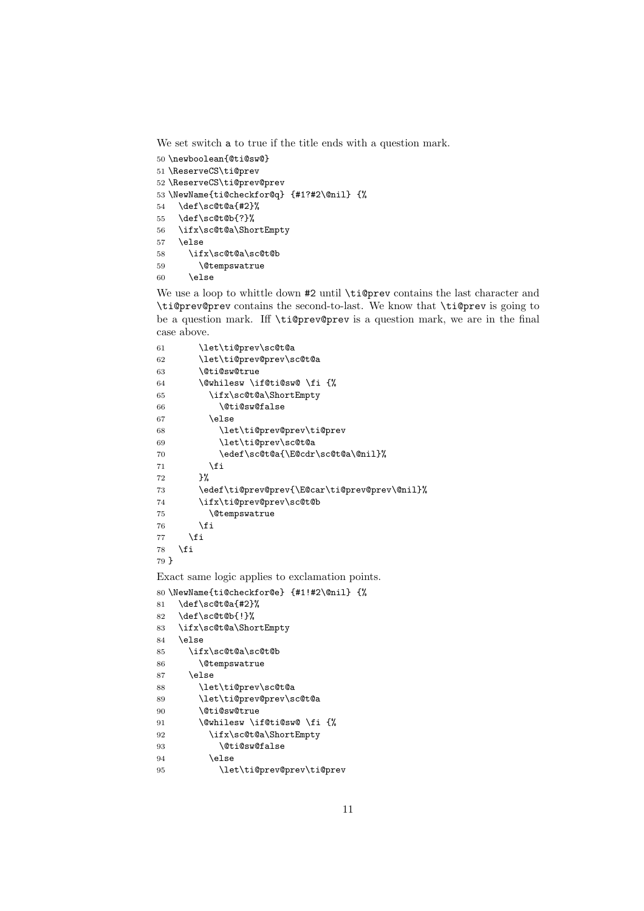We set switch a to true if the title ends with a question mark.

```
50 \newboolean{@ti@sw@}
51 \ReserveCS\ti@prev
52 \ReserveCS\ti@prev@prev
53 \NewName{ti@checkfor@q} {#1?#2\@nil} {%
54 \def\sc@t@a{#2}%
55 \def\sc@t@b{?}%
56 \ifx\sc@t@a\ShortEmpty
57 \else
58 \ifx\sc@t@a\sc@t@b
59 \@tempswatrue
60 \else
```
We use a loop to whittle down #2 until \ti@prev contains the last character and \ti@prev@prev contains the second-to-last. We know that \ti@prev is going to be a question mark. Iff \ti@prev@prev is a question mark, we are in the final case above.

```
61 \let\ti@prev\sc@t@a
62 \let\ti@prev@prev\sc@t@a
63 \@ti@sw@true
64 \@whilesw \if@ti@sw@ \fi {%
65 \ifx\sc@t@a\ShortEmpty
66 \@ti@sw@false
67 \else
68 \let\ti@prev@prev\ti@prev
69 \let\ti@prev\sc@t@a
70 \edef\sc@t@a{\E@cdr\sc@t@a\@nil}%
71 \over \{5}72 }%
73 \edef\ti@prev@prev{\E@car\ti@prev@prev\@nil}%
74 \ifx\ti@prev@prev\sc@t@b
75 \@tempswatrue
76 \forallfi
77 \fi
78 \fi
79 }
```
Exact same logic applies to exclamation points.

```
80 \NewName{ti@checkfor@e} {#1!#2\@nil} {%
81 \def\sc@t@a{#2}%
82 \def\sc@t@b{!}%
83 \ifx\sc@t@a\ShortEmpty
84 \else
85 \ifx\sc@t@a\sc@t@b
86 \@tempswatrue
87 \else
88 \let\ti@prev\sc@t@a
89 \let\ti@prev@prev\sc@t@a
90 \@ti@sw@true
91 \@whilesw \if@ti@sw@ \fi {%
92 \ifx\sc@t@a\ShortEmpty
93 \@ti@sw@false
94 \else
95 \let\ti@prev@prev\ti@prev
```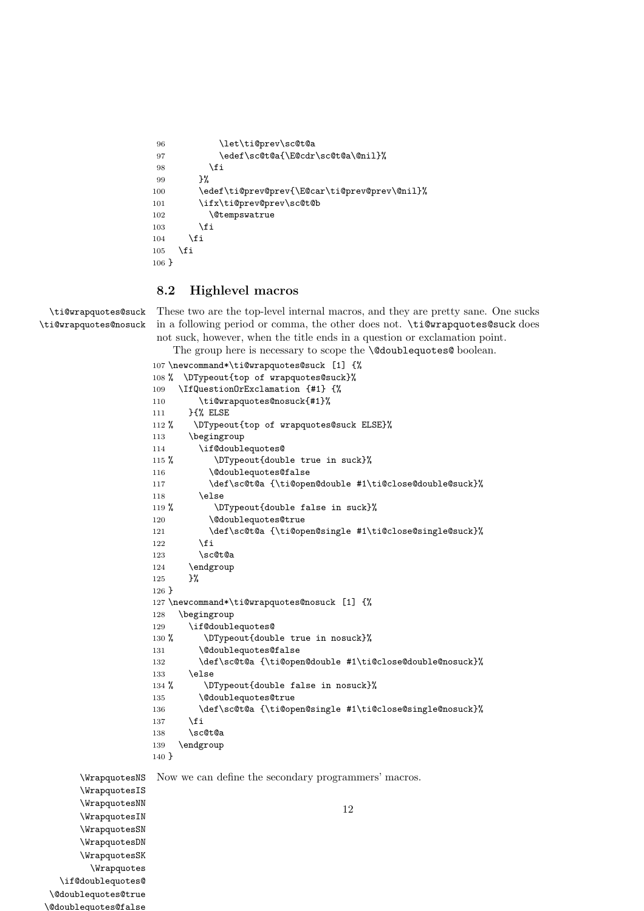```
96 \let\ti@prev\sc@t@a
97 \edef\sc@t@a{\E@cdr\sc@t@a\@nil}%
98 \qquad \qquad \fi
99 }%
100 \edef\ti@prev@prev{\E@car\ti@prev@prev\@nil}%
101 \ifx\ti@prev@prev\sc@t@b
102 \@tempswatrue
103 \qquad \text{if}104 \fi
105 \fi
106 }
```
## **8.2 Highlevel macros**

\ti@wrapquotes@suck \ti@wrapquotes@nosuck These two are the top-level internal macros, and they are pretty sane. One sucks in a following period or comma, the other does not. \ti@wrapquotes@suck does not suck, however, when the title ends in a question or exclamation point.

The group here is necessary to scope the **\@doublequotes@** boolean.

```
107 \newcommand*\ti@wrapquotes@suck [1] {%
108 % \DTypeout{top of wrapquotes@suck}%
109 \IfQuestionOrExclamation {#1} {%
110 \ti@wrapquotes@nosuck{#1}%
111 }{% ELSE
112 % \DTypeout{top of wrapquotes@suck ELSE}%
113 \begingroup
114 \if@doublequotes@
115 % \DTypeout{double true in suck}%
116 \@doublequotes@false
117 \def\sc@t@a {\ti@open@double #1\ti@close@double@suck}%
118 \else
119 % \DTypeout{double false in suck}%
120 \@doublequotes@true
121 \def\sc@t@a {\ti@open@single #1\ti@close@single@suck}%
122 \overrightarrow{fi}123 \sc@t@a
124 \endgroup
125 }%
126 }
127 \newcommand*\ti@wrapquotes@nosuck [1] {%
128 \begingroup
129 \if@doublequotes@
130 % \DTypeout{double true in nosuck}%
131 \@doublequotes@false
132 \def\sc@t@a {\ti@open@double #1\ti@close@double@nosuck}%
133 \else
134 % \DTypeout{double false in nosuck}%
135 \@doublequotes@true
136 \def\sc@t@a {\ti@open@single #1\ti@close@single@nosuck}%
137 \fi
138 \sc@t@a
139 \endgroup
140 }
Now we can define the secondary programmers' macros.
```
\WrapquotesNS \WrapquotesIS \WrapquotesNN \WrapquotesIN \WrapquotesSN \WrapquotesDN \WrapquotesSK \Wrapquotes \if@doublequotes@ \@doublequotes@true \@doublequotes@false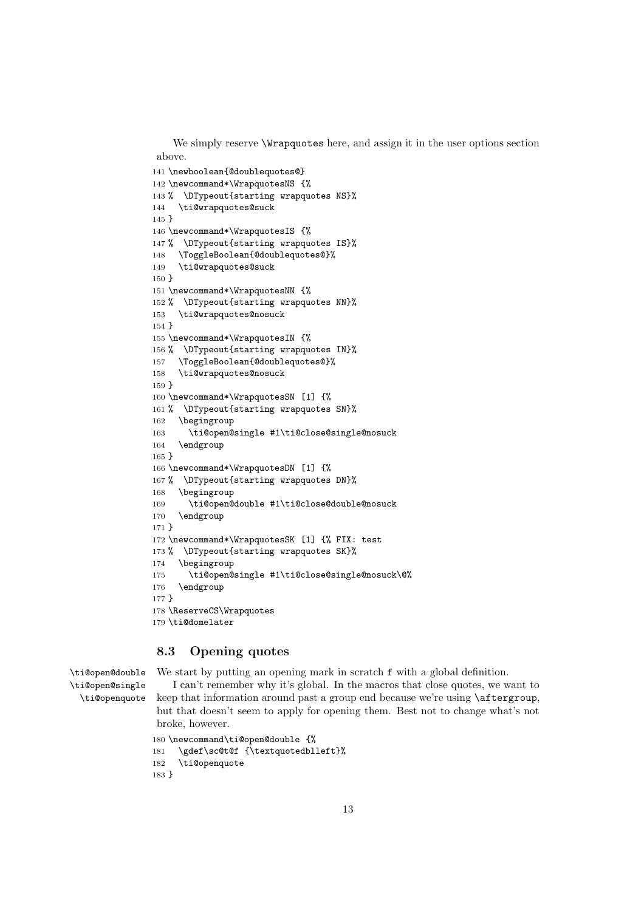We simply reserve **\Wrapquotes** here, and assign it in the user options section above.

```
141 \newboolean{@doublequotes@}
142 \newcommand*\WrapquotesNS {%
143 % \DTypeout{starting wrapquotes NS}%
144 \ti@wrapquotes@suck
145 }
146 \newcommand*\WrapquotesIS {%
147 % \DTypeout{starting wrapquotes IS}%
148 \ToggleBoolean{@doublequotes@}%
149 \ti@wrapquotes@suck
150 }
151 \newcommand*\WrapquotesNN {%
152 % \DTypeout{starting wrapquotes NN}%
153 \ti@wrapquotes@nosuck
154 }
155 \newcommand*\WrapquotesIN {%
156 % \DTypeout{starting wrapquotes IN}%
157 \ToggleBoolean{@doublequotes@}%
158 \ti@wrapquotes@nosuck
159 }
160 \newcommand*\WrapquotesSN [1] {%
161 % \DTypeout{starting wrapquotes SN}%
162 \begingroup
163 \ti@open@single #1\ti@close@single@nosuck
164 \endgroup
165 }
166 \newcommand*\WrapquotesDN [1] {%
167 % \DTypeout{starting wrapquotes DN}%
168 \begingroup
169 \ti@open@double #1\ti@close@double@nosuck
170 \endgroup
171 }
172 \newcommand*\WrapquotesSK [1] {% FIX: test
173 % \DTypeout{starting wrapquotes SK}%
174 \begingroup
175 \ti@open@single #1\ti@close@single@nosuck\@%
176 \endgroup
177 }
178 \ReserveCS\Wrapquotes
179 \ti@domelater
```
## **8.3 Opening quotes**

```
\ti@open@double
\ti@open@single
  \ti@openquote
```
We start by putting an opening mark in scratch  $f$  with a global definition.

I can't remember why it's global. In the macros that close quotes, we want to keep that information around past a group end because we're using \aftergroup, but that doesn't seem to apply for opening them. Best not to change what's not broke, however.

```
180 \newcommand\ti@open@double {%
181 \gdef\sc@t@f {\textquotedblleft}%
182 \ti@openquote
183 }
```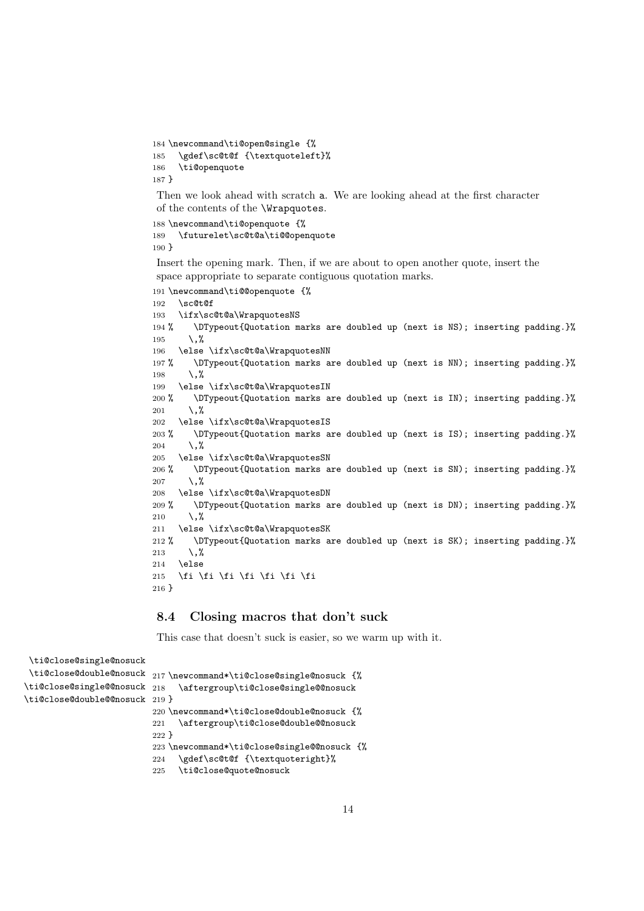```
184 \newcommand\ti@open@single {%
185 \gdef\sc@t@f {\textquoteleft}%
186 \ti@openquote
187 }
```
Then we look ahead with scratch a. We are looking ahead at the first character of the contents of the \Wrapquotes.

```
188 \newcommand\ti@openquote {%
189 \futurelet\sc@t@a\ti@@openquote
190 }
```
Insert the opening mark. Then, if we are about to open another quote, insert the space appropriate to separate contiguous quotation marks.

```
191 \newcommand\ti@@openquote {%
192 \sc@t@f
193 \ifx\sc@t@a\WrapquotesNS
194 % \DTypeout{Quotation marks are doubled up (next is NS); inserting padding.}%
195 \,%
196 \else \ifx\sc@t@a\WrapquotesNN
197 % \DTypeout{Quotation marks are doubled up (next is NN); inserting padding.}%
198 \lambda, %
199 \else \ifx\sc@t@a\WrapquotesIN
200 % \DTypeout{Quotation marks are doubled up (next is IN); inserting padding.}%
201 \,%
202 \else \ifx\sc@t@a\WrapquotesIS
203 % \DTypeout{Quotation marks are doubled up (next is IS); inserting padding.}%
204 \, \frac{\sqrt{6}}{204}205 \else \ifx\sc@t@a\WrapquotesSN
206 % \DTypeout{Quotation marks are doubled up (next is SN); inserting padding.}%
207 \, \frac{\sqrt{6}}{207}208 \else \ifx\sc@t@a\WrapquotesDN
209 % \DTypeout{Quotation marks are doubled up (next is DN); inserting padding.}%
210 \, \frac{\sqrt{2}}{2}211 \else \ifx\sc@t@a\WrapquotesSK
212 % \DTypeout{Quotation marks are doubled up (next is SK); inserting padding.}%
213 \, \%214 \else
215 \fi \fi \fi \fi \fi \fi \fi \fi
216 }
```
#### **8.4 Closing macros that don't suck**

This case that doesn't suck is easier, so we warm up with it.

```
\ti@close@single@nosuck
 \ti@close@double@nosuck
217 \newcommand*\ti@close@single@nosuck {%
\ti@close@single@@nosuck 218
\ti@close@double@@nosuck
219 }
                             \aftergroup\ti@close@single@@nosuck
                         220 \newcommand*\ti@close@double@nosuck {%
                         221 \aftergroup\ti@close@double@@nosuck
                         222 }
                         223 \newcommand*\ti@close@single@@nosuck {%
                         224 \gdef\sc@t@f {\textquoteright}%
                         225 \ti@close@quote@nosuck
```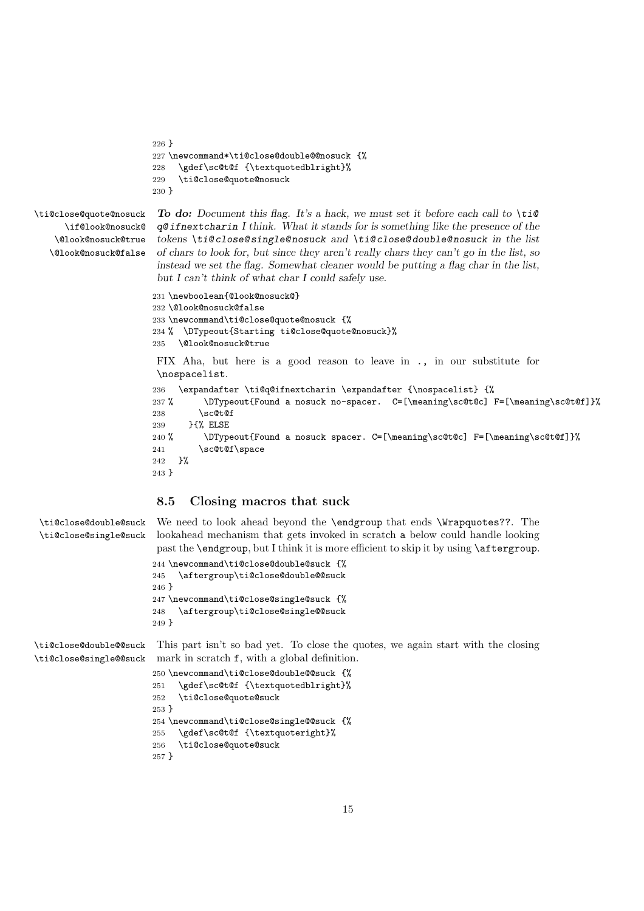```
226 }
                       227 \newcommand*\ti@close@double@@nosuck {%
                       228 \gdef\sc@t@f {\textquotedblright}%
                       229 \ti@close@quote@nosuck
                       230 }
\ti@close@quote@nosuck
     \if@look@nosuck@
    \@look@nosuck@true
   \@look@nosuck@false
                        To do: Document this flag. It's a hack, we must set it before each call to \ti@
                        q@ ifnextcharin I think. What it stands for is something like the presence of the
                        tokens \ti@ close@ single@ nosuck and \ti@ close@ double@ nosuck in the list
                        of chars to look for, but since they aren't really chars they can't go in the list, so
                        instead we set the flag. Somewhat cleaner would be putting a flag char in the list,
                        but I can't think of what char I could safely use.
                       231 \newboolean{@look@nosuck@}
                       232 \@look@nosuck@false
                       233 \newcommand\ti@close@quote@nosuck {%
                       234 % \DTypeout{Starting ti@close@quote@nosuck}%
                       235 \@look@nosuck@true
                        FIX Aha, but here is a good reason to leave in ., in our substitute for
                        \nospacelist.
                       236 \expandafter \ti@q@ifnextcharin \expandafter {\nospacelist} {%
                       237 % \DTypeout{Found a nosuck no-spacer. C=[\meaning\sc@t@c] F=[\meaning\sc@t@f]}%
                       238 \sc@t@f
                       239 }{% ELSE
                       240 % \DTypeout{Found a nosuck spacer. C=[\meaning\sc@t@c] F=[\meaning\sc@t@f]}%
                       241 \sc@t@f\space
                       242 }%
                       243 }
                        8.5 Closing macros that suck
```

```
\ti@close@double@suck
\ti@close@single@suck
```
We need to look ahead beyond the **\endgroup** that ends **\Wrapquotes??**. The lookahead mechanism that gets invoked in scratch a below could handle looking past the \endgroup, but I think it is more efficient to skip it by using \aftergroup.

```
244 \newcommand\ti@close@double@suck {%
245 \aftergroup\ti@close@double@@suck
246 }
247 \newcommand\ti@close@single@suck {%
248 \aftergroup\ti@close@single@@suck
249 }
```
\ti@close@double@@suck \ti@close@single@@suck

```
This part isn't so bad yet. To close the quotes, we again start with the closing
mark in scratch f, with a global definition.
250 \newcommand\ti@close@double@@suck {%
```

```
251 \gdef\sc@t@f {\textquotedblright}%
252 \ti@close@quote@suck
253 }
254 \newcommand\ti@close@single@@suck {%
255 \gdef\sc@t@f {\textquoteright}%
256 \ti@close@quote@suck
257 }
```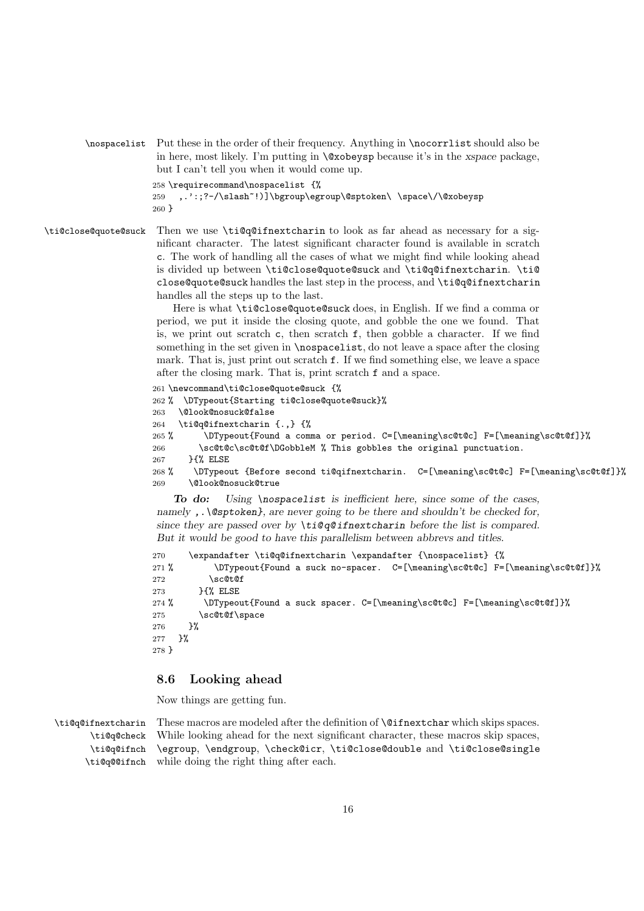\nospacelist Put these in the order of their frequency. Anything in \nocorrlist should also be in here, most likely. I'm putting in \@xobeysp because it's in the *xspace* package, but I can't tell you when it would come up.

258 \requirecommand\nospacelist {%

```
259 ,.':;?-/\slash~!)]\bgroup\egroup\@sptoken\ \space\/\@xobeysp
260 }
```
\ti@close@quote@suck Then we use \ti@q@ifnextcharin to look as far ahead as necessary for a significant character. The latest significant character found is available in scratch c. The work of handling all the cases of what we might find while looking ahead is divided up between \ti@close@quote@suck and \ti@q@ifnextcharin. \ti@ close@quote@suck handles the last step in the process, and \ti@q@ifnextcharin handles all the steps up to the last.

> Here is what \ti@close@quote@suck does, in English. If we find a comma or period, we put it inside the closing quote, and gobble the one we found. That is, we print out scratch  $c$ , then scratch  $f$ , then gobble a character. If we find something in the set given in **\nospacelist**, do not leave a space after the closing mark. That is, just print out scratch f. If we find something else, we leave a space after the closing mark. That is, print scratch f and a space.

```
261 \newcommand\ti@close@quote@suck {%
262 % \DTypeout{Starting ti@close@quote@suck}%
263 \@look@nosuck@false
264 \ti@q@ifnextcharin {.,} {%
265 % \DTypeout{Found a comma or period. C=[\meaning\sc@t@c] F=[\meaning\sc@t@f]}%
266 \sc@t@c\sc@t@f\DGobbleM %, This gobbles the original punctuation.
267 }{% ELSE
268 % \DTypeout {Before second ti@qifnextcharin. C=[\meaning\sc@t@c] F=[\meaning\sc@t@f]}%
269 \@look@nosuck@true
```
*To do: Using \nospacelist is inefficient here, since some of the cases, namely ,.\@sptoken}, are never going to be there and shouldn't be checked for, since they are passed over by \ti@ q@ ifnextcharin before the list is compared. But it would be good to have this parallelism between abbrevs and titles.*

```
270 \expandafter \ti@q@ifnextcharin \expandafter {\nospacelist} {%
271 % \DTypeout{Found a suck no-spacer. C=[\meaning\sc@t@c] F=[\meaning\sc@t@f]}%
272 \sc@t@f
273 }{% ELSE
274 % \DTypeout{Found a suck spacer. C=[\meaning\sc@t@c] F=[\meaning\sc@t@f]}%
275 \sc@t@f\space
276 \frac{19}{2}277 }%
278 }
```
## **8.6 Looking ahead**

Now things are getting fun.

\ti@q@ifnextcharin \ti@q@check \ti@q@ifnch \ti@q@@ifnch These macros are modeled after the definition of **\@ifnextchar** which skips spaces. While looking ahead for the next significant character, these macros skip spaces, \egroup, \endgroup, \check@icr, \ti@close@double and \ti@close@single while doing the right thing after each.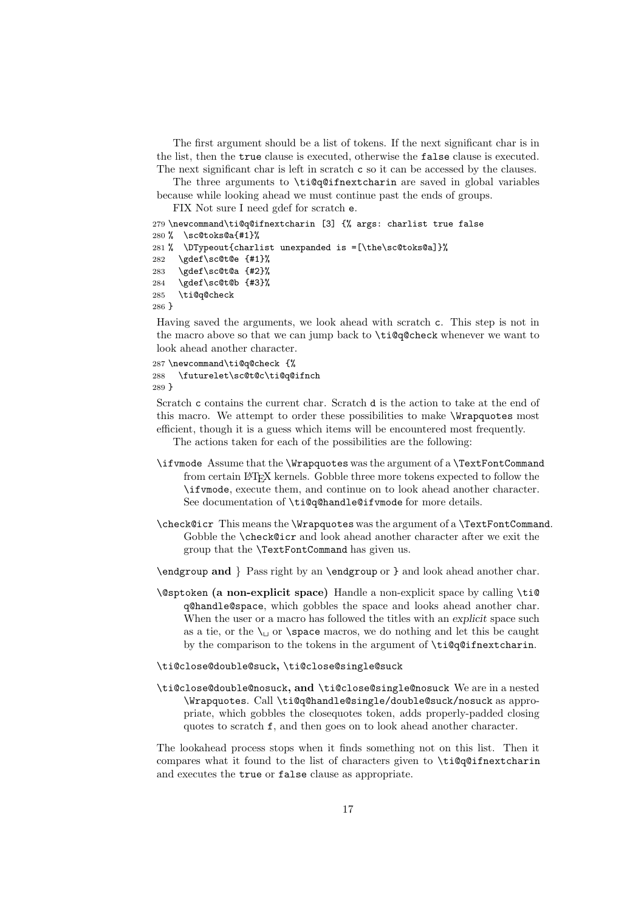The first argument should be a list of tokens. If the next significant char is in the list, then the true clause is executed, otherwise the false clause is executed. The next significant char is left in scratch c so it can be accessed by the clauses.

The three arguments to \ti@q@ifnextcharin are saved in global variables because while looking ahead we must continue past the ends of groups.

FIX Not sure I need gdef for scratch e.

```
279 \newcommand\ti@q@ifnextcharin [3] {% args: charlist true false
280 % \sc@toks@a{#1}%
281 % \DTypeout{charlist unexpanded is =[\the\sc@toks@a]}%
282 \gdef\sc@t@e {#1}%
283 \gdef\sc@t@a {#2}%
284 \gdef\sc@t@b {#3}%
285 \ti@q@check
```
286 }

Having saved the arguments, we look ahead with scratch c. This step is not in the macro above so that we can jump back to \ti@q@check whenever we want to look ahead another character.

```
287 \newcommand\ti@q@check {%
288 \futurelet\sc@t@c\ti@q@ifnch
289 }
```
Scratch c contains the current char. Scratch d is the action to take at the end of this macro. We attempt to order these possibilities to make \Wrapquotes most efficient, though it is a guess which items will be encountered most frequently.

The actions taken for each of the possibilities are the following:

- \ifvmode Assume that the \Wrapquotes was the argument of a \TextFontCommand from certain LATEX kernels. Gobble three more tokens expected to follow the \ifvmode, execute them, and continue on to look ahead another character. See documentation of \ti@q@handle@ifvmode for more details.
- \check@icr This means the \Wrapquotes was the argument of a \TextFontCommand. Gobble the \check@icr and look ahead another character after we exit the group that the \TextFontCommand has given us.
- \endgroup **and** } Pass right by an \endgroup or } and look ahead another char.
- \@sptoken **(a non-explicit space)** Handle a non-explicit space by calling \ti@ q@handle@space, which gobbles the space and looks ahead another char. When the user or a macro has followed the titles with an *explicit* space such as a tie, or the  $\setminus_{\square}$  or  $\setminus$  space macros, we do nothing and let this be caught by the comparison to the tokens in the argument of \ti@q@ifnextcharin.

#### \ti@close@double@suck**,** \ti@close@single@suck

\ti@close@double@nosuck**, and** \ti@close@single@nosuck We are in a nested \Wrapquotes. Call \ti@q@handle@single/double@suck/nosuck as appropriate, which gobbles the closequotes token, adds properly-padded closing quotes to scratch f, and then goes on to look ahead another character.

The lookahead process stops when it finds something not on this list. Then it compares what it found to the list of characters given to \ti@q@ifnextcharin and executes the true or false clause as appropriate.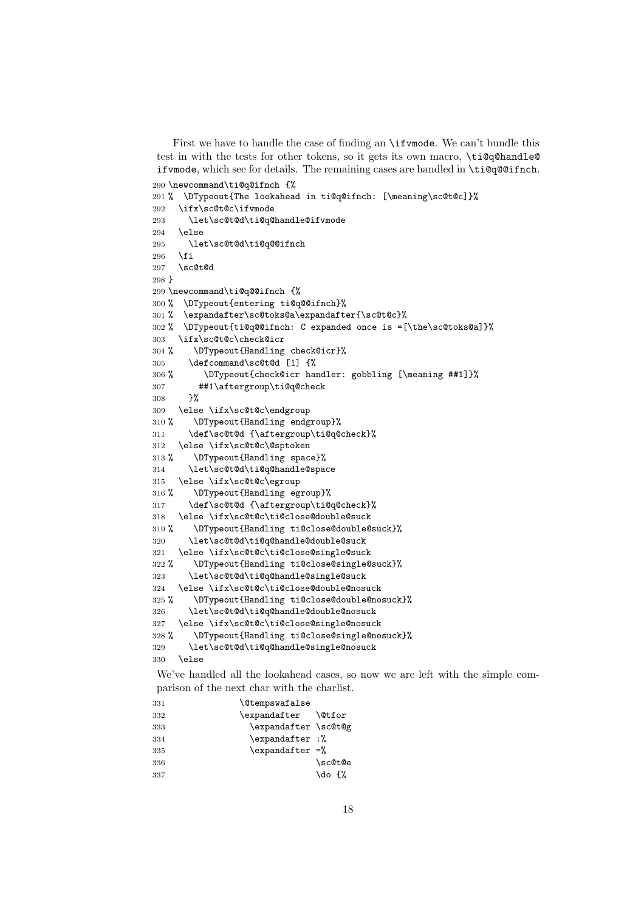First we have to handle the case of finding an **\ifumode**. We can't bundle this test in with the tests for other tokens, so it gets its own macro, \ti@q@handle@ ifvmode, which see for details. The remaining cases are handled in \ti@q@@ifnch.

```
290 \newcommand\ti@q@ifnch {%
291 % \DTypeout{The lookahead in ti@q@ifnch: [\meaning\sc@t@c]}%
292 \ifx\sc@t@c\ifvmode
293 \let\sc@t@d\ti@q@handle@ifvmode
294 \else
295 \let\sc@t@d\ti@q@@ifnch
296 \overline{\text{fi}}297 \sc@t@d
298 }
299 \newcommand\ti@q@@ifnch {%
300 % \DTypeout{entering ti@q@@ifnch}%
301 % \expandafter\sc@toks@a\expandafter{\sc@t@c}%
302 % \DTypeout{ti@q@@ifnch: C expanded once is =[\the\sc@toks@a]}%
303 \ifx\sc@t@c\check@icr
304 % \DTypeout{Handling check@icr}%
305 \defcommand\sc@t@d [1] {%
306 % \DTypeout{check@icr handler: gobbling [\meaning ##1]}%
307 ##1\aftergroup\ti@q@check
308 }%
309 \else \ifx\sc@t@c\endgroup
310 % \DTypeout{Handling endgroup}%
311 \def\sc@t@d {\aftergroup\ti@q@check}%
312 \else \ifx\sc@t@c\@sptoken
313 % \DTypeout{Handling space}%
314 \let\sc@t@d\ti@q@handle@space
315 \else \ifx\sc@t@c\egroup
316 % \DTypeout{Handling egroup}%
317 \def\sc@t@d {\aftergroup\ti@q@check}%
318 \else \ifx\sc@t@c\ti@close@double@suck
319 % \DTypeout{Handling ti@close@double@suck}%
320 \let\sc@t@d\ti@q@handle@double@suck
321 \else \ifx\sc@t@c\ti@close@single@suck
322 % \DTypeout{Handling ti@close@single@suck}%
323 \let\sc@t@d\ti@q@handle@single@suck
324 \else \ifx\sc@t@c\ti@close@double@nosuck
325 % \DTypeout{Handling ti@close@double@nosuck}%
326 \let\sc@t@d\ti@q@handle@double@nosuck
327 \else \ifx\sc@t@c\ti@close@single@nosuck
328 % \DTypeout{Handling ti@close@single@nosuck}%
329 \let\sc@t@d\ti@q@handle@single@nosuck
330 \else
```
We've handled all the lookahead cases, so now we are left with the simple comparison of the next char with the charlist.

| 331 | <b>\@tempswafalse</b>    |         |
|-----|--------------------------|---------|
| 332 | \expandafter \@tfor      |         |
| 333 | \expandafter \sc@t@g     |         |
| 334 | \expandafter :%          |         |
| 335 | $\text{expandafter} =$ % |         |
| 336 |                          | \sc@t@e |
| 337 |                          | \do {%  |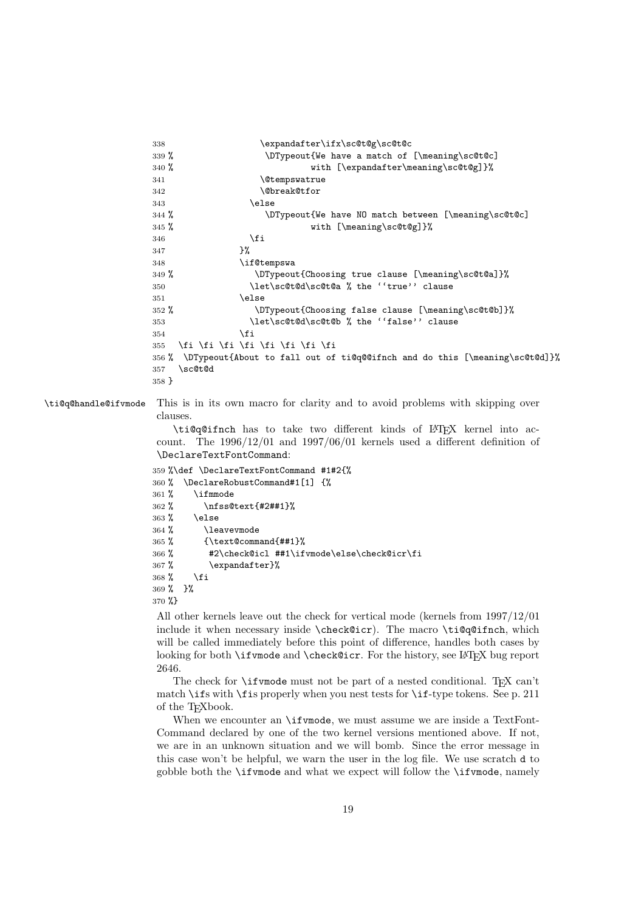```
338 \expandafter\ifx\sc@t@g\sc@t@c
339 % \DTypeout{We have a match of [\meaning\sc@t@c]
340 % with [\expandafter\meaning\sc@t@g]}
341 \@tempswatrue
342 \\@break@tfor
343 \else
344 % \DTypeout{We have NO match between [\meaning\sc@t@c]
345 % with [\meaning\sc@t@g]}%
346 \quad \text{if}347 }%
348 \if@tempswa
349 % \DTypeout{Choosing true clause [\meaning\sc@t@a]}%
350 \let\sc@t@d\sc@t@a % the ''true'' clause
351 \text{le}352 % \DTypeout{Choosing false clause [\meaning\sc@t@b]}%
353 \let\sc@t@d\sc@t@b % the ''false'' clause
354 \quad \text{If}355 \fi \fi \fi \fi \fi \fi \fi \fi
356 % \DTypeout{About to fall out of ti@q@@ifnch and do this [\meaning\sc@t@d]}%
357 \sc@t@d
358 }
```
\ti@q@handle@ifvmode This is in its own macro for clarity and to avoid problems with skipping over clauses.

> \ti@q@ifnch has to take two different kinds of LATEX kernel into account. The 1996/12/01 and 1997/06/01 kernels used a different definition of \DeclareTextFontCommand:

```
359 %\def \DeclareTextFontCommand #1#2{%
360 % \DeclareRobustCommand#1[1] {%
361 % \ifmmode
362 % \nfss@text{#2##1}%
363 % \else
364 % \leavevmode
365% \{ \text{text}{\text{Common}}\}_{\text{num}}366 % #2\check@icl ##1\ifvmode\else\check@icr\fi
367 % \expandafter}%
368 % \fi
369 % }%
370 %}
```
All other kernels leave out the check for vertical mode (kernels from 1997/12/01 include it when necessary inside \check@icr). The macro \ti@q@ifnch, which will be called immediately before this point of difference, handles both cases by looking for both \ifvmode and \check@icr. For the history, see LATEX bug report 2646.

The check for  $\iota$  if vmode must not be part of a nested conditional. TEX can't match \ifs with \fis properly when you nest tests for \if-type tokens. See p. 211 of the TEXbook.

When we encounter an **\ifvmode**, we must assume we are inside a TextFont-Command declared by one of the two kernel versions mentioned above. If not, we are in an unknown situation and we will bomb. Since the error message in this case won't be helpful, we warn the user in the log file. We use scratch d to gobble both the \ifvmode and what we expect will follow the \ifvmode, namely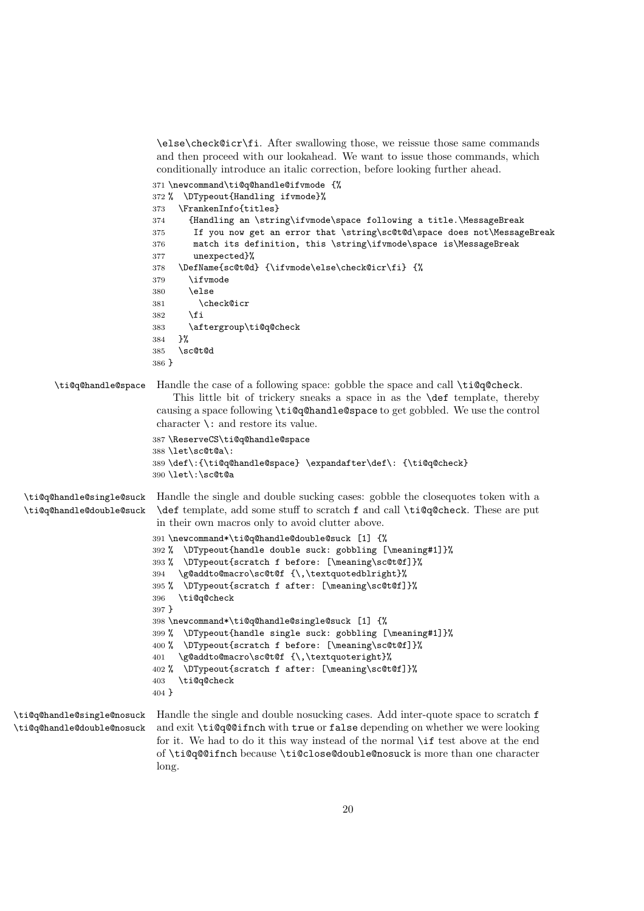\else\check@icr\fi. After swallowing those, we reissue those same commands and then proceed with our lookahead. We want to issue those commands, which conditionally introduce an italic correction, before looking further ahead.

```
371 \newcommand\ti@q@handle@ifvmode {%
                           372 % \DTypeout{Handling ifvmode}%
                           373 \FrankenInfo{titles}
                           374 {Handling an \string\ifvmode\space following a title.\MessageBreak
                           375 If you now get an error that \string\sc@t@d\space does not\MessageBreak
                           376 match its definition, this \string\ifvmode\space is\MessageBreak
                           377 unexpected}%
                           378 \DefName{sc@t@d} {\ifvmode\else\check@icr\fi} {%
                           379 \ifvmode
                           380 \else
                           381 \check@icr
                           382 \fi
                           383 \aftergroup\ti@q@check
                           384 }%
                           385 \sc@t@d
                           386 }
        \ti@q@handle@space Handle the case of a following space: gobble the space and call \ti@q@check.
                               This little bit of trickery sneaks a space in as the \def template, thereby
                            causing a space following \ti@q@handle@space to get gobbled. We use the control
                            character \: and restore its value.
                           387 \ReserveCS\ti@q@handle@space
                           388 \let\sc@t@a\:
                           389 \def\:{\ti@q@handle@space} \expandafter\def\: {\ti@q@check}
                           390 \let\:\sc@t@a
  \ti@q@handle@single@suck
  \ti@q@handle@double@suck
                            Handle the single and double sucking cases: gobble the closequotes token with a
                            \def template, add some stuff to scratch f and call \ti@q@check. These are put
                            in their own macros only to avoid clutter above.
                           391 \newcommand*\ti@q@handle@double@suck [1] {%
                           392 % \DTypeout{handle double suck: gobbling [\meaning#1]}%
                           393 % \DTypeout{scratch f before: [\meaning\sc@t@f]}%
                           394 \g@addto@macro\sc@t@f {\,\textquotedblright}%
                           395 % \DTypeout{scratch f after: [\meaning\sc@t@f]}%
                           396 \ti@q@check
                           397 }
                           398 \newcommand*\ti@q@handle@single@suck [1] {%
                           399 % \DTypeout{handle single suck: gobbling [\meaning#1]}%
                           400 % \DTypeout{scratch f before: [\meaning\sc@t@f]}%
                           401 \g@addto@macro\sc@t@f {\,\textquoteright}%
                           402 % \DTypeout{scratch f after: [\meaning\sc@t@f]}%
                           403 \ti@q@check
                           404 }
\ti@q@handle@single@nosuck
\ti@q@handle@double@nosuck
                            Handle the single and double nosucking cases. Add inter-quote space to scratch f
                            and exit \ti@q@@ifnch with true or false depending on whether we were looking
```
for it. We had to do it this way instead of the normal \if test above at the end of \ti@q@@ifnch because \ti@close@double@nosuck is more than one character

long.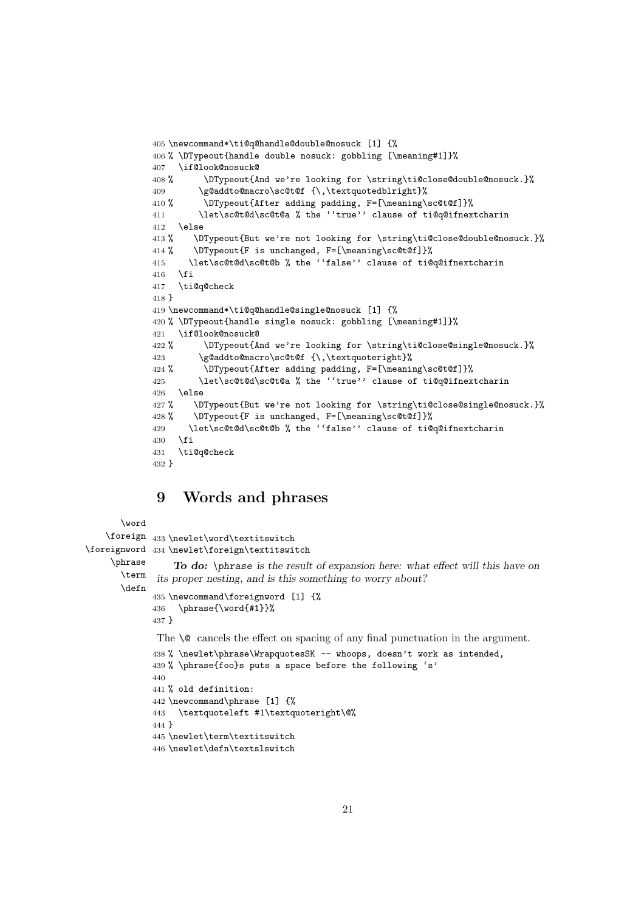```
405 \newcommand*\ti@q@handle@double@nosuck [1] {%
406 % \DTypeout{handle double nosuck: gobbling [\meaning#1]}%
407 \if@look@nosuck@
408 % \DTypeout{And we're looking for \string\ti@close@double@nosuck.}%
409 \g@addto@macro\sc@t@f {\,\textquotedblright}%
410 % \DTypeout{After adding padding, F=[\meaning\sc@t@f]}%
411 \let\sc@t@d\sc@t@a % the ''true'' clause of ti@q@ifnextcharin
412 \else
413 % \DTypeout{But we're not looking for \string\ti@close@double@nosuck.}%
414 % \DTypeout{F is unchanged, F=[\meaning\sc@t@f]}%
415 \let\sc@t@d\sc@t@b % the ''false'' clause of ti@q@ifnextcharin
416 \fi
417 \ti@q@check
418 }
419 \newcommand*\ti@q@handle@single@nosuck [1] {%
420 % \DTypeout{handle single nosuck: gobbling [\meaning#1]}%
421 \if@look@nosuck@
422 % \DTypeout{And we're looking for \string\ti@close@single@nosuck.}%
423 \g@addto@macro\sc@t@f {\,\textquoteright}%
424 % \DTypeout{After adding padding, F=[\meaning\sc@t@f]}%
425 \let\sc@t@d\sc@t@a % the ''true'' clause of ti@q@ifnextcharin
426 \else
427 % \DTypeout{But we're not looking for \string\ti@close@single@nosuck.}%
428 % \DTypeout{F is unchanged, F=[\meaning\sc@t@f]}%
429 \let\sc@t@d\sc@t@b % the ''false'' clause of ti@q@ifnextcharin
430 \quad \text{If}431 \ti@q@check
432 }
```
## **9 Words and phrases**

```
\word
    \foreign
433 \newlet\word\textitswitch
\foreignword
434 \newlet\foreign\textitswitch
    \phrase
       \term
       \defn
                  To do: \phrase is the result of expansion here: what effect will this have on
              its proper nesting, and is this something to worry about?
             435 \newcommand\foreignword [1] {%
             436 \phrase{\word{#1}}%
             437 }
              The \Diamond cancels the effect on spacing of any final punctuation in the argument.
             438 % \newlet\phrase\WrapquotesSK -- whoops, doesn't work as intended,
             439 % \phrase{foo}s puts a space before the following 's'
             440
             441 % old definition:
             442 \newcommand\phrase [1] {%
             443 \textquoteleft #1\textquoteright\@%
             444 }
             445 \newlet\term\textitswitch
             446 \newlet\defn\textslswitch
```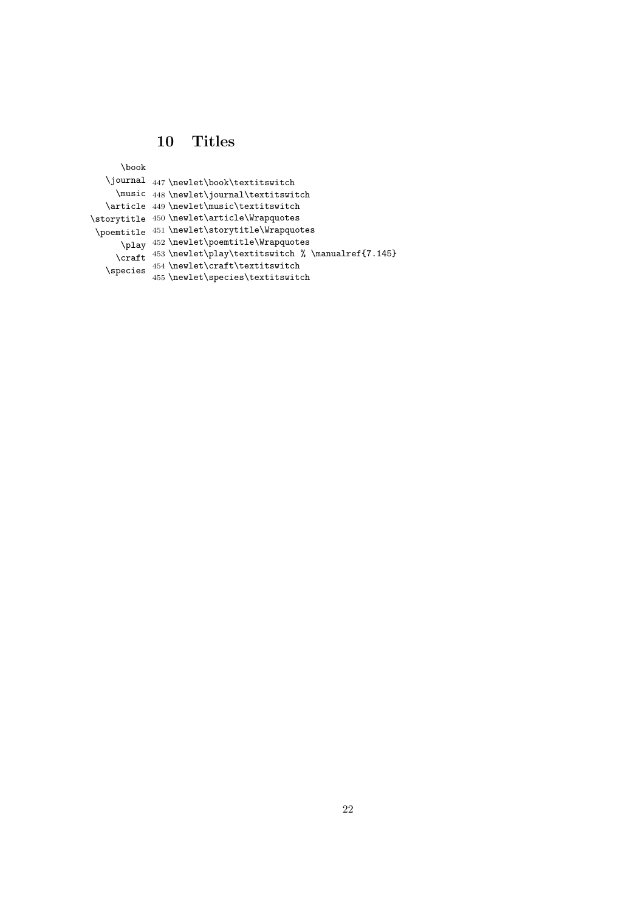## **10 Titles**

\book

|          | \journal 447\newlet\book\textitswitch             |
|----------|---------------------------------------------------|
|          | \music 448 \newlet\journal\textitswitch           |
|          | \article 449 \newlet\music\textitswitch           |
|          | \storytitle 450 \newlet\article\Wrapquotes        |
|          | \poemtitle 451 \newlet\storytitle\Wrapquotes      |
| \play    | $452 \verb+\newlet\ponentitle\\Wrapquotes$        |
| \craft   | 453 \newlet\play\textitswitch % \manualref{7.145} |
| \species | 454 \newlet\craft\textitswitch                    |
|          | 455 \newlet\species\textitswitch                  |
|          |                                                   |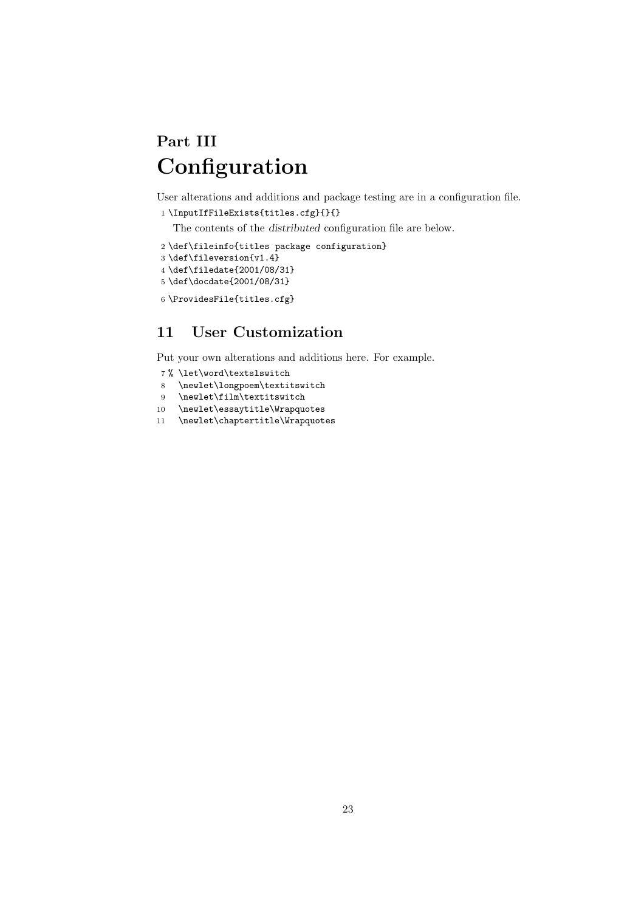# **Part III Configuration**

User alterations and additions and package testing are in a configuration file.

```
1 \InputIfFileExists{titles.cfg}{}{}
```
The contents of the *distributed* configuration file are below.

```
2 \def\fileinfo{titles package configuration}
3 \def\fileversion{v1.4}
4 \def\filedate{2001/08/31}
5 \def\docdate{2001/08/31}
6 \ProvidesFile{titles.cfg}
```
## **11 User Customization**

Put your own alterations and additions here. For example.

- % \let\word\textslswitch
- \newlet\longpoem\textitswitch
- \newlet\film\textitswitch
- \newlet\essaytitle\Wrapquotes
- \newlet\chaptertitle\Wrapquotes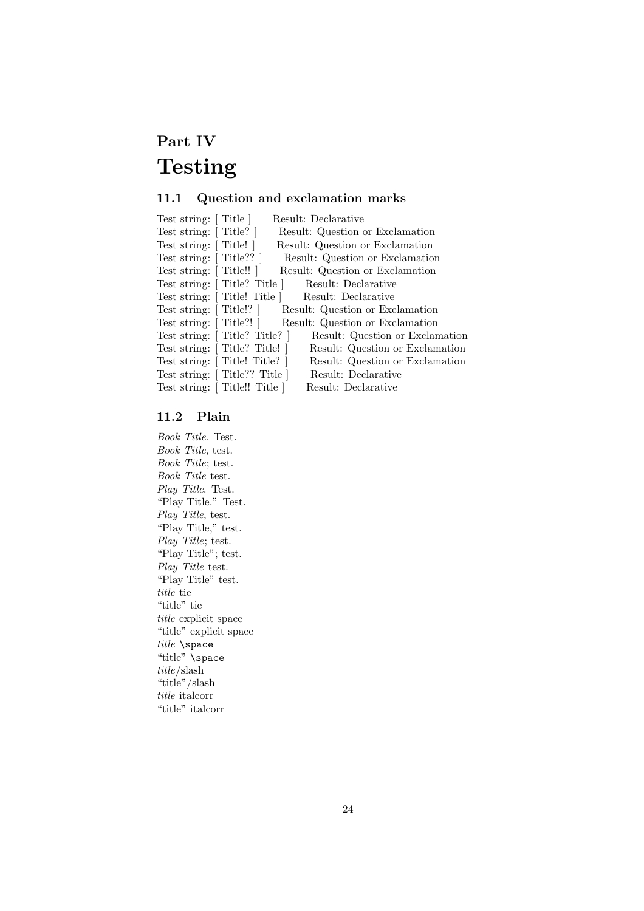# **Part IV Testing**

## **11.1 Question and exclamation marks**

| Test string: [Title ]  | Result: Declarative                                             |
|------------------------|-----------------------------------------------------------------|
| Test string: [Title?]  | Result: Question or Exclamation                                 |
| Test string: [Title!]  | Result: Question or Exclamation                                 |
| Test string: [Title??] | Result: Question or Exclamation                                 |
| Test string: [Title!!] | Result: Question or Exclamation                                 |
|                        | Test string: [Title? Title ]<br>Result: Declarative             |
|                        | Test string: [Title! Title ]<br>Result: Declarative             |
|                        | Test string: [Title!?] Result: Question or Exclamation          |
|                        | Test string: [Title?!] Result: Question or Exclamation          |
|                        | Test string: [Title? Title?]<br>Result: Question or Exclamation |
|                        | Test string: [Title? Title!]<br>Result: Question or Exclamation |
|                        | Test string: [Title! Title?]<br>Result: Question or Exclamation |
|                        | Test string: [Title?? Title ]<br>Result: Declarative            |
|                        | Test string: [Title!! Title ]<br>Result: Declarative            |
|                        |                                                                 |

## **11.2 Plain**

*Book Title*. Test. *Book Title*, test. *Book Title*; test. *Book Title* test. *Play Title*. Test. "Play Title." Test. *Play Title*, test. "Play Title," test. *Play Title*; test. "Play Title"; test. *Play Title* test. "Play Title" test. *title* tie "title" tie *title* explicit space "title" explicit space *title* \space "title" \space *title*/slash "title"/slash *title* italcorr "title" italcorr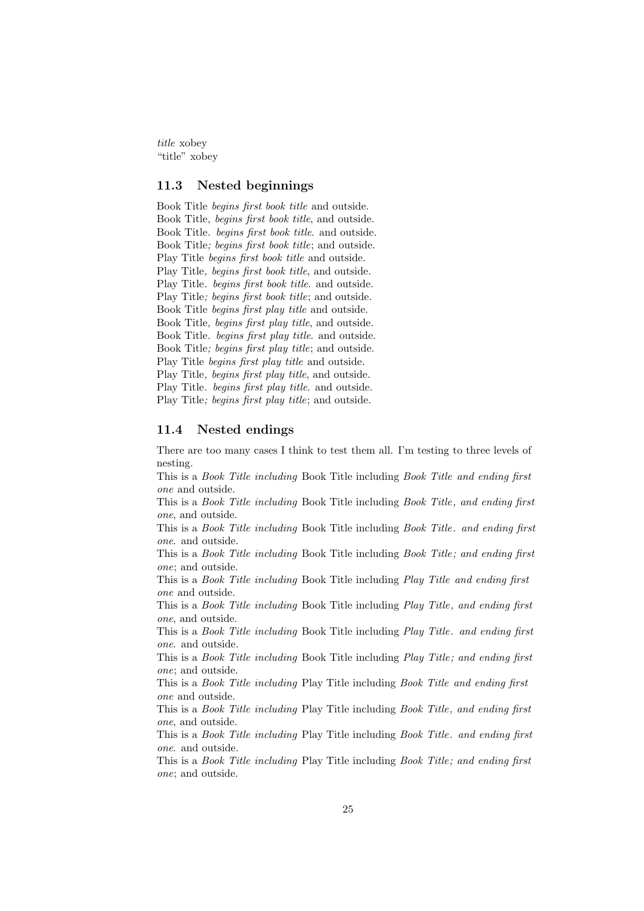*title* xobey "title" xobey

## **11.3 Nested beginnings**

Book Title *begins first book title* and outside. Book Title*, begins first book title*, and outside. Book Title*. begins first book title*. and outside. Book Title*; begins first book title*; and outside. Play Title *begins first book title* and outside. Play Title*, begins first book title*, and outside. Play Title*. begins first book title*. and outside. Play Title*; begins first book title*; and outside. Book Title *begins first play title* and outside. Book Title*, begins first play title*, and outside. Book Title*. begins first play title*. and outside. Book Title*; begins first play title*; and outside. Play Title *begins first play title* and outside. Play Title*, begins first play title*, and outside. Play Title*. begins first play title*. and outside. Play Title*; begins first play title*; and outside.

#### **11.4 Nested endings**

There are too many cases I think to test them all. I'm testing to three levels of nesting.

This is a *Book Title including* Book Title including *Book Title and ending first one* and outside.

This is a *Book Title including* Book Title including *Book Title, and ending first one*, and outside.

This is a *Book Title including* Book Title including *Book Title. and ending first one*. and outside.

This is a *Book Title including* Book Title including *Book Title; and ending first one*; and outside.

This is a *Book Title including* Book Title including *Play Title and ending first one* and outside.

This is a *Book Title including* Book Title including *Play Title, and ending first one*, and outside.

This is a *Book Title including* Book Title including *Play Title. and ending first one*. and outside.

This is a *Book Title including* Book Title including *Play Title; and ending first one*; and outside.

This is a *Book Title including* Play Title including *Book Title and ending first one* and outside.

This is a *Book Title including* Play Title including *Book Title, and ending first one*, and outside.

This is a *Book Title including* Play Title including *Book Title. and ending first one*. and outside.

This is a *Book Title including* Play Title including *Book Title; and ending first one*; and outside.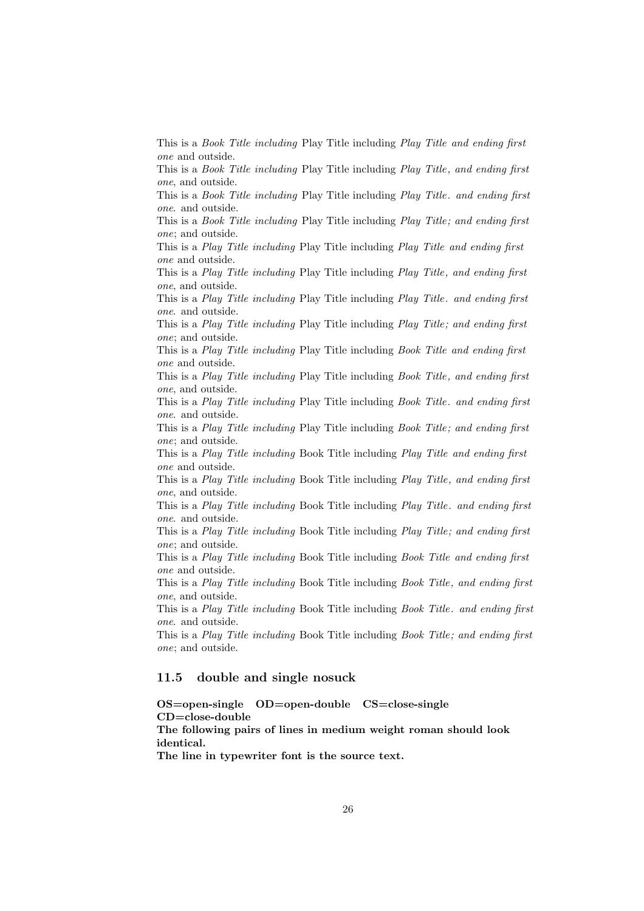This is a *Book Title including* Play Title including *Play Title and ending first one* and outside.

This is a *Book Title including* Play Title including *Play Title, and ending first one*, and outside.

This is a *Book Title including* Play Title including *Play Title. and ending first one*. and outside.

This is a *Book Title including* Play Title including *Play Title; and ending first one*; and outside.

This is a *Play Title including* Play Title including *Play Title and ending first one* and outside.

This is a *Play Title including* Play Title including *Play Title, and ending first one*, and outside.

This is a *Play Title including* Play Title including *Play Title. and ending first one*. and outside.

This is a *Play Title including* Play Title including *Play Title; and ending first one*; and outside.

This is a *Play Title including* Play Title including *Book Title and ending first one* and outside.

This is a *Play Title including* Play Title including *Book Title, and ending first one*, and outside.

This is a *Play Title including* Play Title including *Book Title. and ending first one*. and outside.

This is a *Play Title including* Play Title including *Book Title; and ending first one*; and outside.

This is a *Play Title including* Book Title including *Play Title and ending first one* and outside.

This is a *Play Title including* Book Title including *Play Title, and ending first one*, and outside.

This is a *Play Title including* Book Title including *Play Title. and ending first one*. and outside.

This is a *Play Title including* Book Title including *Play Title; and ending first one*; and outside.

This is a *Play Title including* Book Title including *Book Title and ending first one* and outside.

This is a *Play Title including* Book Title including *Book Title, and ending first one*, and outside.

This is a *Play Title including* Book Title including *Book Title. and ending first one*. and outside.

This is a *Play Title including* Book Title including *Book Title; and ending first one*; and outside.

## **11.5 double and single nosuck**

**OS=open-single OD=open-double CS=close-single CD=close-double**

**The following pairs of lines in medium weight roman should look identical.**

**The line in typewriter font is the source text.**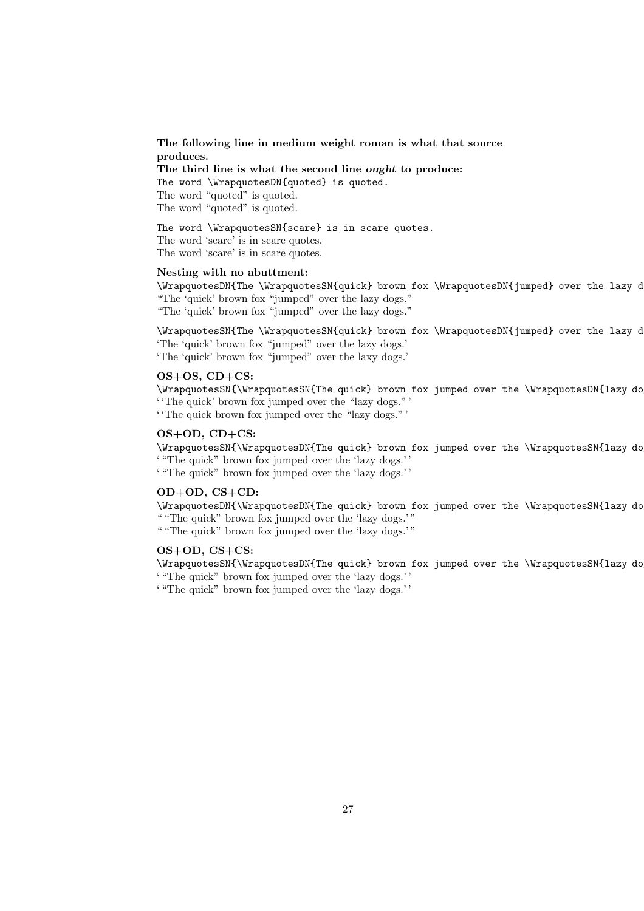### **The following line in medium weight roman is what that source produces.**

**The third line is what the second line** *ought* **to produce:**

The word \WrapquotesDN{quoted} is quoted.

The word "quoted" is quoted.

The word "quoted" is quoted.

The word \WrapquotesSN{scare} is in scare quotes. The word 'scare' is in scare quotes. The word 'scare' is in scare quotes.

#### **Nesting with no abuttment:**

\WrapquotesDN{The \WrapquotesSN{quick} brown fox \WrapquotesDN{jumped} over the lazy d "The 'quick' brown fox "jumped" over the lazy dogs." "The 'quick' brown fox "jumped" over the lazy dogs."

\WrapquotesSN{The \WrapquotesSN{quick} brown fox \WrapquotesDN{jumped} over the lazy d 'The 'quick' brown fox "jumped" over the lazy dogs.' 'The 'quick' brown fox "jumped" over the laxy dogs.'

#### **OS+OS, CD+CS:**

\WrapquotesSN{\WrapquotesSN{The quick} brown fox jumped over the \WrapquotesDN{lazy dog ' 'The quick' brown fox jumped over the "lazy dogs." '

' 'The quick brown fox jumped over the "lazy dogs." '

## **OS+OD, CD+CS:**

\WrapquotesSN{\WrapquotesDN{The quick} brown fox jumped over the \WrapquotesSN{lazy dog ' "The quick" brown fox jumped over the 'lazy dogs.' '

' "The quick" brown fox jumped over the 'lazy dogs.' '

### **OD+OD, CS+CD:**

\WrapquotesDN{\WrapquotesDN{The quick} brown fox jumped over the \WrapquotesSN{lazy dog " "The quick" brown fox jumped over the 'lazy dogs.'"

" "The quick" brown fox jumped over the 'lazy dogs.'"

## **OS+OD, CS+CS:**

\WrapquotesSN{\WrapquotesDN{The quick} brown fox jumped over the \WrapquotesSN{lazy dog ' "The quick" brown fox jumped over the 'lazy dogs.' '

' "The quick" brown fox jumped over the 'lazy dogs.' '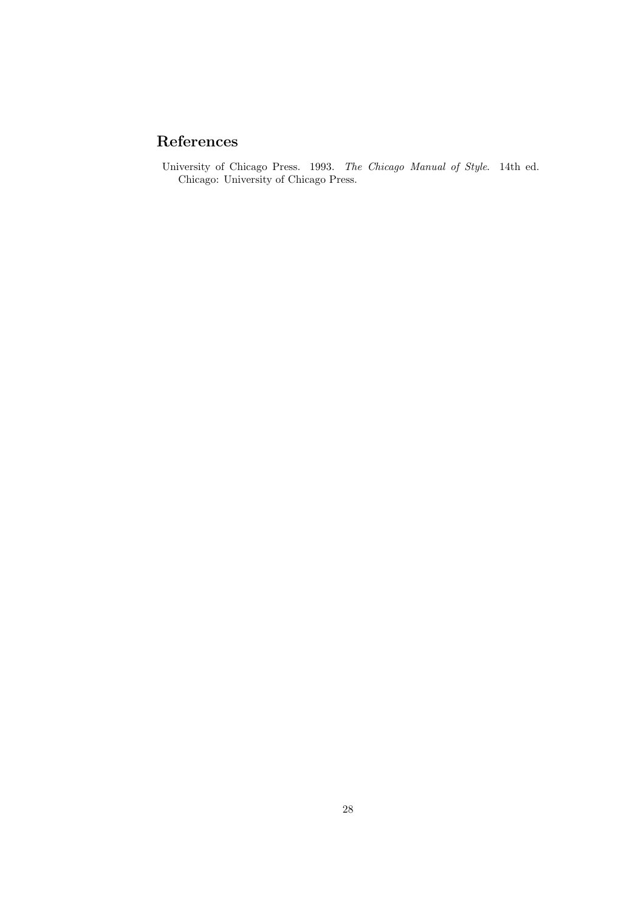## **References**

University of Chicago Press. 1993. *The Chicago Manual of Style*. 14th ed. Chicago: University of Chicago Press.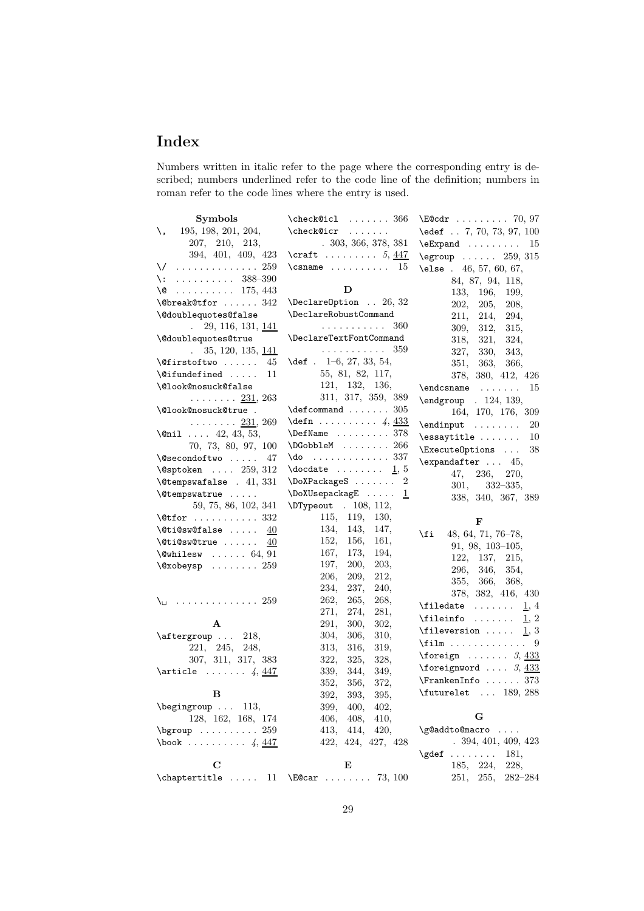## **Index**

Numbers written in italic refer to the page where the corresponding entry is described; numbers underlined refer to the code line of the definition; numbers in roman refer to the code lines where the entry is used.

| <b>Symbols</b>                                                             | \check@icl<br>. 366                                 | $\text{E@cdr} \dots \dots \dots \quad 70,97$                                 |
|----------------------------------------------------------------------------|-----------------------------------------------------|------------------------------------------------------------------------------|
| 195, 198, 201, 204,<br>\,                                                  | \check@icr<br>.                                     | \edef 7, 70, 73, 97, 100                                                     |
| 207, 210, 213,                                                             | .303, 366, 378, 381                                 | $\text{Expand}$<br>15                                                        |
| 394, 401, 409, 423                                                         | $\text{Cardt} \ldots \ldots 5, \frac{447}{1}$       | $\begin{array}{ccc} \text{Regroup} & \ldots & 259,315 \end{array}$           |
| $\sqrt{259}$                                                               | $\setminus$ csname  15                              | \else $.46, 57, 60, 67,$                                                     |
| $\setminus: \ldots \ldots \ldots 388-390$                                  |                                                     | 84, 87, 94, 118,                                                             |
| $\cdots \cdots \cdots 175, 443$<br>∖@                                      | D                                                   | 133,<br>196,<br>199,                                                         |
| $\text{Obreak@tfor  342}$                                                  | $\Delta$ PeclareOption  26, 32                      | 202,<br>205,<br><b>208,</b>                                                  |
| \@doublequotes@false                                                       | \DeclareRobustCommand                               | 211, 214,<br>294,                                                            |
| 29, 116, 131, 141<br>$\mathbf{L}$                                          | 360<br>.                                            | 309, 312,<br>315,                                                            |
| \@doublequotes@true                                                        | \DeclareTextFontCommand                             | 318, 321,<br>324,                                                            |
| $\ldots$ 35, 120, 135, <u>141</u>                                          | .<br>359                                            | 327, 330,<br>343,                                                            |
| <b>\@firstoftwo</b><br>45                                                  | $\text{def}$ . 1-6, 27, 33, 54,                     | 351, 363,<br>366,                                                            |
| $\setminus$ Cifundefined<br>11                                             | 55, 81, 82, 117,                                    | 378, 380, 412, 426                                                           |
| \@look@nosuck@false                                                        | 121, 132, 136,                                      | 15                                                                           |
| . <u>231</u> , 263                                                         | 311, 317, 359, 389                                  | \endgroup . 124, 139,                                                        |
| \@look@nosuck@true .                                                       | $\text{\textcircled{a}} \ldots \ldots 305$          | 164, 170, 176, 309                                                           |
| $\ldots \ldots 231, 269$                                                   | $\text{defn} \ldots \ldots \quad 4, \frac{433}{48}$ | $\end{input}$<br>20                                                          |
| \@nil $42, 43, 53,$                                                        | $\Delta$ 378                                        | $\simeq$<br>10                                                               |
| 70, 73, 80, 97, 100                                                        | $\Delta$ DGobbleM  266                              | \ExecuteOptions<br>38                                                        |
| \@secondoftwo<br>47                                                        | $\text{do} \dots \dots \dots \dots 337$             | $\text{expandafter} \dots 45,$                                               |
| $\sqrt{9}$ sptoken $259, 312$                                              | $\delta$ . $\ldots$ $\frac{1}{5}$                   | 47,<br>236,<br>270,                                                          |
| $\text{\textbackslash}$ Ctempswafalse . 41, 331                            |                                                     | 301,<br>$332 - 335,$                                                         |
| \@tempswatrue                                                              | \DoXUsepackagE<br>$\perp$                           | 338, 340, 367, 389                                                           |
| 59, 75, 86, 102, 341                                                       | \DTypeout . 108, 112,                               |                                                                              |
| $\text{Wtfor} \dots \dots \dots 332$                                       | 115,<br>119,<br>130,                                | F                                                                            |
| $\texttt{0tidsw@false}$ $40$                                               | 134,<br>143,<br>147,                                | 48, 64, 71, 76-78,<br>\fi                                                    |
| \@ti@sw@true<br>40                                                         | 152,<br>156,<br>161,                                | $91, 98, 103-105,$                                                           |
| $\text{Qwhilesw}$ 64, 91                                                   | 167,<br>173,<br>194,                                | 122, 137,<br>215,                                                            |
| $\sqrt{Q}xobeysp$ 259                                                      | 200,<br>203,<br>197,                                | 296, 346,<br>354,                                                            |
|                                                                            | 209,<br>212,<br>206,                                | 355, 366,<br>368,                                                            |
|                                                                            | 234,<br>237,<br>240,                                | 378, 382, 416, 430                                                           |
| $\setminus$                                                                | 262,<br>265,<br>268,                                | $\perp$ , 4                                                                  |
|                                                                            | 271,<br>274,<br>281,                                | 1, 2                                                                         |
| A                                                                          | 291,<br>300,<br>302,                                |                                                                              |
| $\text{aftergroup} \dots 218,$                                             | 304,<br>310,<br>306,                                | \fileversion $1, 3$<br>$\text{ifilm} \dots \dots \dots \dots$                |
| 221, 245, 248,                                                             | 319,<br>313,<br>316,                                |                                                                              |
| 307, 311, 317, 383                                                         | 322,<br>325,<br>328,                                | $\begin{array}{ccc}\n\text{for eigen } \ldots & \ldots & 3,433\n\end{array}$ |
| $\article \ldots \ldots \ 4, \frac{447}{4}$                                | 339,<br>344,<br>349.                                | $\{\text{foreignword }\dots 3, \frac{433}{2}\}$                              |
|                                                                            | 352,<br>356,<br>372,                                | $\verb+\FrankenInfo + \ldots + 373$                                          |
| B                                                                          | 392,<br>393.<br>395,                                | \futurelet  189, 288                                                         |
| \begingroup  113,                                                          | 399,<br>400,<br>402,                                |                                                                              |
| $128,\ 162,\ 168,\ 174$                                                    | 406,<br>408,<br>410,                                | G                                                                            |
| $\begin{bmatrix} \texttt{bgroup} & \texttt{} & \texttt{259} \end{bmatrix}$ | 413,<br>414,<br>420,                                | \g@addto@macro                                                               |
| $\text{book} \ldots \ldots \ldots \quad 4, \frac{447}{4}$                  | 422, 424, 427, 428                                  | .394, 401, 409, 423                                                          |
|                                                                            |                                                     | $\qquad \qquad \ldots \ldots$<br>181,                                        |
| С                                                                          | Е                                                   | 185, 224,<br>228,                                                            |
| \chaptertitle<br>11                                                        | $\text{E@car } \ldots \ldots \quad 73, 100$         | 255,<br>$282 - 284$<br>251,                                                  |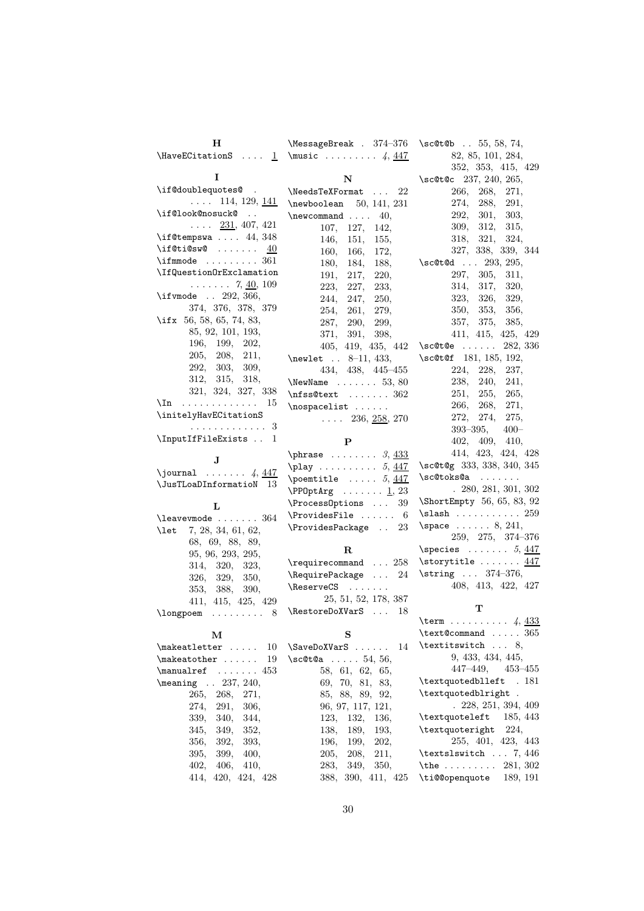| н                                                                  | \MessageBreak . 374-376                     | $\setminus$ sc@t@b 55, 58, 74,                |
|--------------------------------------------------------------------|---------------------------------------------|-----------------------------------------------|
|                                                                    | \HaveECitationS $1$ \music  4, $447$        | 82, 85, 101, 284,                             |
|                                                                    |                                             | 352, 353, 415, 429                            |
| 1                                                                  | N                                           | \sc@t@c 237, 240, 265,                        |
| \if@doublequotes@.                                                 | \NeedsTeXFormat<br>22                       | 266.<br>268.<br>271,                          |
| $\ldots$ 114, 129, 141                                             | $\neq$ boolean 50, 141, 231                 | 274,<br>288,<br>291,                          |
| \if@look@nosuck@                                                   | $\neq$<br>40,                               | 301,<br>303,<br>292,                          |
| $\ldots$ 231, 407, 421                                             | 107, 127,<br>142,                           | 312,<br>309,<br>315,                          |
| $\iota$ if@tempswa  44, 348                                        | 146,<br>151,<br>155,                        | 321,<br>324,<br>318,                          |
| \if@ti@sw@ $\underline{40}$                                        | 160, 166,<br>172,                           | 327, 338, 339, 344                            |
| $\mathcal{S}$ 361                                                  | 180, 184,<br>188.                           | \sc@t@d  293, 295,                            |
| \IfQuestion0rExclamation<br>$\ldots \ldots 7, \underline{40}, 109$ | 191, 217,<br><b>220,</b>                    | 297, 305,<br>311,                             |
| \if vmode $\ldots$ 292, 366,                                       | 223,<br>227,<br>233.                        | 314,<br>317,<br>320,                          |
| 374, 376, 378, 379                                                 | 244,<br>247,<br>250,                        | 326,<br>323,<br>329,                          |
| \ifx 56, 58, 65, 74, 83,                                           | 254,<br>261,<br>279,                        | 350,<br>353,<br>356,                          |
| 85, 92, 101, 193,                                                  | 287, 290,<br>299,                           | 357,<br>375,<br>385,                          |
| 196, 199, 202,                                                     | 371, 391,<br>398,                           | 411, 415, 425, 429                            |
| 205, 208, 211,                                                     | 405, 419, 435, 442                          | $\setminus$ sc@t@e<br>282, 336                |
| 292, 303, 309,                                                     | $\neq 11, 433,$                             | \sc@t@f 181, 185, 192,                        |
| 312, 315, 318,                                                     | 434, 438, 445-455                           | 224,<br>228,<br>237,                          |
| 321, 324, 327, 338                                                 | $\text{NewName} \dots \dots 53, 80$         | 238,<br>240, 241,<br>255, 265,<br>251,        |
| \In<br>. 15                                                        | $\n\times 362$                              | 266, 268, 271,                                |
| \initelyHavECitationS                                              | $\n\omega$                                  | 272, 274,<br>275,                             |
| . 3                                                                | $\ldots$ 236, 258, 270                      | 393–395,<br>$400 -$                           |
| \InputIfFileExists  1                                              | P                                           | 402, 409,<br>410,                             |
|                                                                    | $\phi$ 3, 433                               | 414, 423, 424, 428                            |
| $\mathbf{J}$                                                       | $\pi$ 5, 447                                | \sc@t@g 333, 338, 340, 345                    |
| \journal $\ldots \ldots$ 4, $447$                                  | $\omega$ 5, 447                             | $\sC@toks@a \ldots \ldots$                    |
| \JusTLoaDInformatioN 13                                            | $\PP0ptArg \ldots \ldots \underline{1}, 23$ | .280, 281, 301, 302                           |
|                                                                    | \ProcessOptions<br>39                       | \ShortEmpty 56, 65, 83, 92                    |
| L                                                                  | $\verb+\ProvidesFile \dots 6$               | $\lambda$ 259                                 |
| $\lambda$ = $364$                                                  | \ProvidesPackage  23                        | $\text{space} \dots 8, 241,$                  |
| 7, 28, 34, 61, 62,<br>\let                                         |                                             | 259, 275, 374-376                             |
| 68, 69, 88, 89,<br>95, 96, 293, 295,                               | R                                           | $\text{Species} \dots \dots 5, \frac{447}{4}$ |
| 314, 320, 323,                                                     | \requirecommand  258                        | \storytitle  447                              |
| 326, 329,<br>350,                                                  | $\lambda$ RequirePackage  24                | $\strut \text{string} \ldots \strut 374-376,$ |
| 353, 388,<br>390.                                                  | $\text{ReserveCS} \dots \dots$              | 408, 413, 422, 427                            |
| 411, 415, 425, 429                                                 | 25, 51, 52, 178, 387                        |                                               |
| 8                                                                  | \RestoreDoXVarS  18                         | т                                             |
|                                                                    |                                             | \term 4, $433$                                |
| М                                                                  | S                                           | $\text{\textcirc} \ldots$ 365                 |
| \makeatletter<br>10                                                | $\SaveDoXVarS$<br>14                        | \textitswitch  8,                             |
| 19<br>\makeatother                                                 | $\setminus$ sc@t@a  54, 56,                 | 9, 433, 434, 445,                             |
| \manualref<br>$\ldots \ldots 453$                                  | 58, 61, 62, 65,                             | $447-449, 453-455$                            |
| \meaning<br>$\ldots$ 237, 240,                                     | 69, 70, 81, 83,                             | \textquotedblleft . 181                       |
| 265,<br>268,<br>271,                                               | 85, 88, 89, 92,                             | \textquotedblright<br>$\ddot{\phantom{a}}$ .  |
| 274,<br>291,<br>306,                                               |                                             |                                               |
| 339,<br>340,<br>344,                                               | 96, 97, 117, 121,                           | . 228, 251, 394, 409                          |
|                                                                    | 123,<br>132,<br>136,                        | \textquoteleft<br>185, 443                    |
| 345,<br>349,<br>352,                                               | 138,<br>189,<br>193,                        | \textquoteright<br>224,                       |
| 356,<br>392,<br>393,                                               | 196,<br>199,<br>202,                        | 255, 401, 423, 443                            |
| 395,<br>399,<br>400,                                               | 211,<br>205,<br>208,                        | \textslswitch $7,446$                         |
| 402,<br>406,<br>410,<br>414,<br>420, 424, 428                      | 283,<br>349,<br>350,<br>388, 390, 411, 425  | \the  281, 302<br>\ti@@openquote<br>189, 191  |